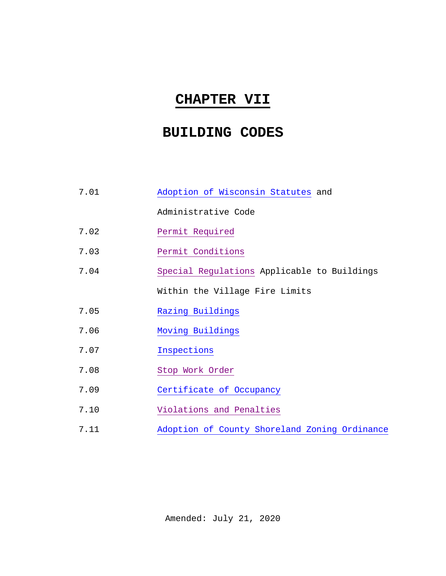## **CHAPTER VII**

## **BUILDING CODES**

| 7.01 | Adoption of Wisconsin Statutes and            |  |  |
|------|-----------------------------------------------|--|--|
|      | Administrative Code                           |  |  |
| 7.02 | Permit Required                               |  |  |
| 7.03 | Permit Conditions                             |  |  |
| 7.04 | Special Regulations Applicable to Buildings   |  |  |
|      | Within the Village Fire Limits                |  |  |
| 7.05 | Razing Buildings                              |  |  |
| 7.06 | Moving Buildings                              |  |  |
| 7.07 | Inspections                                   |  |  |
| 7.08 | Stop Work Order                               |  |  |
| 7.09 | Certificate of Occupancy                      |  |  |
| 7.10 | Violations and Penalties                      |  |  |
| 7.11 | Adoption of County Shoreland Zoning Ordinance |  |  |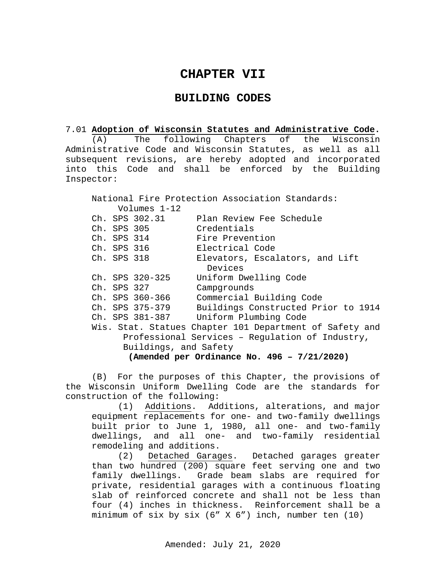## **CHAPTER VII**

## **BUILDING CODES**

# 7.01 **Adoption of Wisconsin Statutes and Administrative Code.**

(A) The following Chapters of the Wisconsin Administrative Code and Wisconsin Statutes, as well as all subsequent revisions, are hereby adopted and incorporated into this Code and shall be enforced by the Building Inspector:

National Fire Protection Association Standards: Volumes 1-12<br>Ch. SPS 302.31 Ch. SPS 302.31 Plan Review Fee Schedule<br>Ch. SPS 305 Credentials Ch. SPS 305 Credentials<br>Ch. SPS 314 Fire Prevent Ch. SPS 314 Fire Prevention<br>Ch. SPS 316 Electrical Code Ch. SPS 316 Electrical Code<br>Ch. SPS 318 Elevators, Escal Elevators, Escalators, and Lift Devices Ch. SPS 320-325 Uniform Dwelling Code Ch. SPS 327 Campgrounds<br>Ch. SPS 360-366 Commercial Ch. SPS 360-366 Commercial Building Code Ch. SPS 375-379 Buildings Constructed Prior to 1914 Uniform Plumbing Code Wis. Stat. Statues Chapter 101 Department of Safety and Professional Services – Regulation of Industry, Buildings, and Safety **(Amended per Ordinance No. 496 – 7/21/2020)**

(B) For the purposes of this Chapter, the provisions of the Wisconsin Uniform Dwelling Code are the standards for construction of the following:

(1) Additions. Additions, alterations, and major equipment replacements for one- and two-family dwellings built prior to June 1, 1980, all one- and two-family dwellings, and all one- and two-family residential remodeling and additions.<br>(2) Detached Garages.

Detached garages greater than two hundred (200) square feet serving one and two family dwellings. Grade beam slabs are required for private, residential garages with a continuous floating slab of reinforced concrete and shall not be less than four (4) inches in thickness. Reinforcement shall be a minimum of six by six (6" X 6") inch, number ten (10)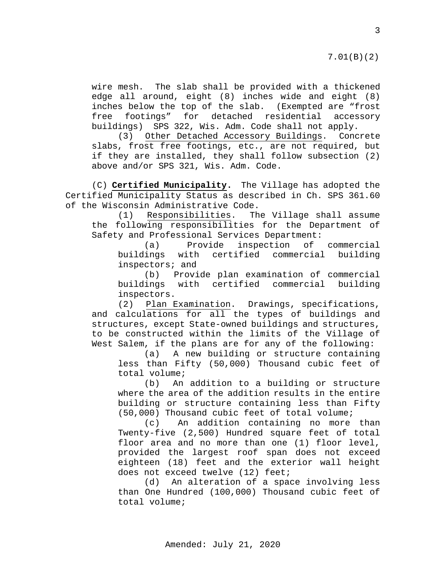7.01(B)(2)

wire mesh. The slab shall be provided with a thickened edge all around, eight (8) inches wide and eight (8) inches below the top of the slab. (Exempted are "frost free footings" for detached residential accessory buildings) SPS 322, Wis. Adm. Code shall not apply.

(3) Other Detached Accessory Buildings. Concrete slabs, frost free footings, etc., are not required, but if they are installed, they shall follow subsection (2) above and/or SPS 321, Wis. Adm. Code.

(C) **Certified Municipality.** The Village has adopted the Certified Municipality Status as described in Ch. SPS 361.60 of the Wisconsin Administrative Code.<br>(1) Responsibilities. Th

(1) Responsibilities. The Village shall assume the following responsibilities for the Department of Safety and Professional Services Department:<br>(a) Provide inspection of commercial

Provide inspection buildings with certified commercial building inspectors; and

(b) Provide plan examination of commercial buildings with certified commercial building inspectors.

(2) Plan Examination. Drawings, specifications, and calculations for all the types of buildings and structures, except State-owned buildings and structures, to be constructed within the limits of the Village of West Salem, if the plans are for any of the following:

(a) A new building or structure containing less than Fifty (50,000) Thousand cubic feet of total volume;<br>(b) An

An addition to a building or structure where the area of the addition results in the entire building or structure containing less than Fifty (50,000) Thousand cubic feet of total volume;

(c) An addition containing no more than Twenty-five (2,500) Hundred square feet of total floor area and no more than one (1) floor level, provided the largest roof span does not exceed eighteen (18) feet and the exterior wall height does not exceed twelve (12) feet;

(d) An alteration of a space involving less than One Hundred (100,000) Thousand cubic feet of total volume;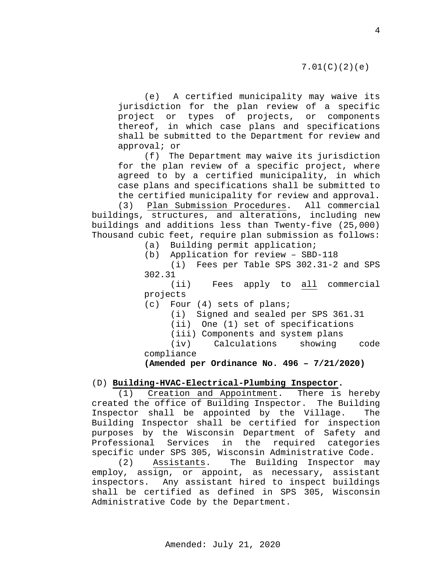(e) A certified municipality may waive its jurisdiction for the plan review of a specific project or types of projects, or components thereof, in which case plans and specifications shall be submitted to the Department for review and approval; or

(f) The Department may waive its jurisdiction for the plan review of a specific project, where agreed to by a certified municipality, in which case plans and specifications shall be submitted to the certified municipality for review and approval.

(3) Plan Submission Procedures. All commercial buildings, structures, and alterations, including new buildings and additions less than Twenty-five (25,000) Thousand cubic feet, require plan submission as follows:

(a) Building permit application;

(b) Application for review – SBD-118

(i) Fees per Table SPS 302.31-2 and SPS 302.31

(ii) Fees apply to all commercial projects

(c) Four (4) sets of plans;

(i) Signed and sealed per SPS 361.31

(ii) One (1) set of specifications

(iii) Components and system plans<br>(iv) Calculations showing Calculations showing code compliance

**(Amended per Ordinance No. 496 – 7/21/2020)**

## (D) **Building-HVAC-Electrical-Plumbing Inspector.**

 $(1)$  Creation and Appointment. created the office of Building Inspector. The Building Inspector shall be appointed by the Village. The Building Inspector shall be certified for inspection purposes by the Wisconsin Department of Safety and Professional Services in the required categories specific under SPS 305, Wisconsin Administrative Code.

(2) Assistants. The Building Inspector may employ, assign, or appoint, as necessary, assistant inspectors. Any assistant hired to inspect buildings shall be certified as defined in SPS 305, Wisconsin Administrative Code by the Department.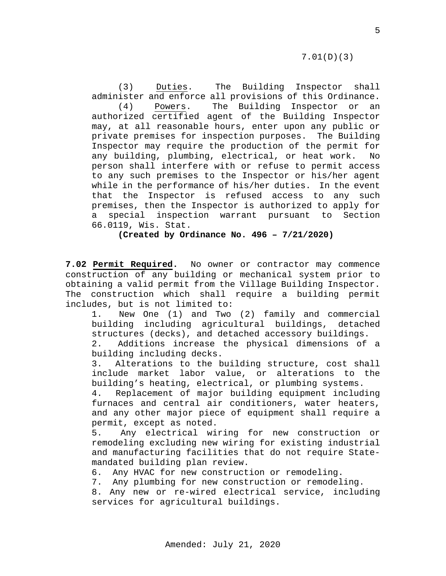(3) Duties. The Building Inspector shall administer and enforce all provisions of this Ordinance. (4) Powers. The Building Inspector or an authorized certified agent of the Building Inspector may, at all reasonable hours, enter upon any public or private premises for inspection purposes. The Building Inspector may require the production of the permit for any building, plumbing, electrical, or heat work. person shall interfere with or refuse to permit access to any such premises to the Inspector or his/her agent while in the performance of his/her duties. In the event that the Inspector is refused access to any such premises, then the Inspector is authorized to apply for a special inspection warrant pursuant to Section 66.0119, Wis. Stat.

**(Created by Ordinance No. 496 – 7/21/2020)**

**7.02 Permit Required.** No owner or contractor may commence construction of any building or mechanical system prior to obtaining a valid permit from the Village Building Inspector. The construction which shall require a building permit includes, but is not limited to:<br>1. New One (1) and Two

New One (1) and Two (2) family and commercial building including agricultural buildings, detached structures (decks), and detached accessory buildings.<br>2. Additions increase the physical dimensions of

Additions increase the physical dimensions of a building including decks.

3. Alterations to the building structure, cost shall include market labor value, or alterations to the building's heating, electrical, or plumbing systems.

4. Replacement of major building equipment including furnaces and central air conditioners, water heaters, and any other major piece of equipment shall require a permit, except as noted.

5. Any electrical wiring for new construction or remodeling excluding new wiring for existing industrial and manufacturing facilities that do not require Statemandated building plan review.<br>6. Any HVAC for new construct

Any HVAC for new construction or remodeling.

7. Any plumbing for new construction or remodeling.

8. Any new or re-wired electrical service, including services for agricultural buildings.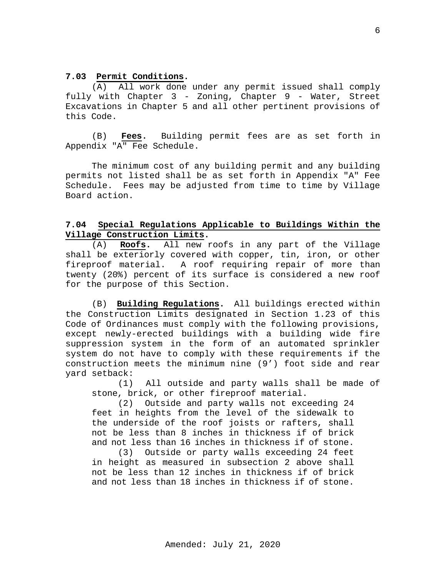### <span id="page-5-0"></span>**7.03 Permit Conditions.**

(A) All work done under any permit issued shall comply fully with Chapter 3 - Zoning, Chapter 9 - Water, Street Excavations in Chapter 5 and all other pertinent provisions of this Code.

(B) **Fees.** Building permit fees are as set forth in Appendix "A" Fee Schedule.

The minimum cost of any building permit and any building permits not listed shall be as set forth in Appendix "A" Fee Schedule. Fees may be adjusted from time to time by Village Board action.

## <span id="page-5-1"></span>**7.04 Special Regulations Applicable to Buildings Within the Village Construction Limits.**

(A) **Roofs.** All new roofs in any part of the Village shall be exteriorly covered with copper, tin, iron, or other fireproof material. A roof requiring repair of more than twenty (20%) percent of its surface is considered a new roof for the purpose of this Section.

(B) **Building Regulations.** All buildings erected within the Construction Limits designated in Section 1.23 of this Code of Ordinances must comply with the following provisions, except newly-erected buildings with a building wide fire suppression system in the form of an automated sprinkler system do not have to comply with these requirements if the construction meets the minimum nine (9') foot side and rear yard setback:

All outside and party walls shall be made of stone, brick, or other fireproof material.<br>(2) Outside and party walls not exc

Outside and party walls not exceeding 24 feet in heights from the level of the sidewalk to the underside of the roof joists or rafters, shall not be less than 8 inches in thickness if of brick and not less than 16 inches in thickness if of stone.

(3) Outside or party walls exceeding 24 feet in height as measured in subsection 2 above shall not be less than 12 inches in thickness if of brick and not less than 18 inches in thickness if of stone.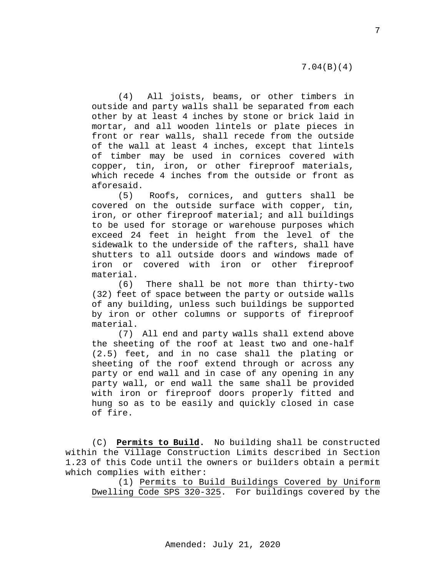(4) All joists, beams, or other timbers in outside and party walls shall be separated from each other by at least 4 inches by stone or brick laid in mortar, and all wooden lintels or plate pieces in front or rear walls, shall recede from the outside of the wall at least 4 inches, except that lintels of timber may be used in cornices covered with copper, tin, iron, or other fireproof materials, which recede 4 inches from the outside or front as aforesaid.

(5) Roofs, cornices, and gutters shall be covered on the outside surface with copper, tin, iron, or other fireproof material; and all buildings to be used for storage or warehouse purposes which exceed 24 feet in height from the level of the sidewalk to the underside of the rafters, shall have shutters to all outside doors and windows made of iron or covered with iron or other fireproof material.

(6) There shall be not more than thirty-two (32) feet of space between the party or outside walls of any building, unless such buildings be supported by iron or other columns or supports of fireproof material.

(7) All end and party walls shall extend above the sheeting of the roof at least two and one-half (2.5) feet, and in no case shall the plating or sheeting of the roof extend through or across any party or end wall and in case of any opening in any party wall, or end wall the same shall be provided with iron or fireproof doors properly fitted and hung so as to be easily and quickly closed in case of fire.

(C) **Permits to Build.** No building shall be constructed within the Village Construction Limits described in Section 1.23 of this Code until the owners or builders obtain a permit which complies with either:

(1) Permits to Build Buildings Covered by Uniform Dwelling Code SPS 320-325. For buildings covered by the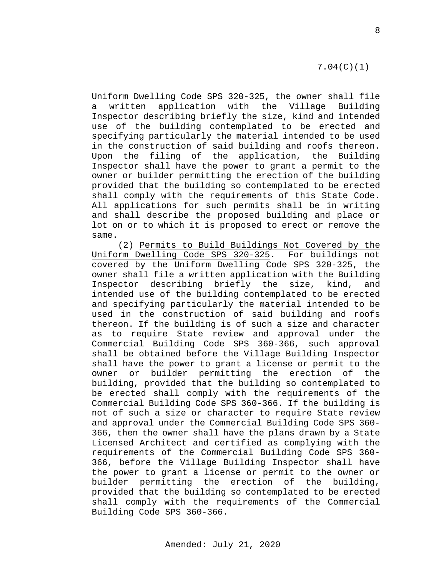## 7.04(C)(1)

Uniform Dwelling Code SPS 320-325, the owner shall file a written application with the Village Building Inspector describing briefly the size, kind and intended use of the building contemplated to be erected and specifying particularly the material intended to be used in the construction of said building and roofs thereon. Upon the filing of the application, the Building Inspector shall have the power to grant a permit to the owner or builder permitting the erection of the building provided that the building so contemplated to be erected shall comply with the requirements of this State Code. All applications for such permits shall be in writing and shall describe the proposed building and place or lot on or to which it is proposed to erect or remove the same.

(2) Permits to Build Buildings Not Covered by the Uniform Dwelling Code SPS 320-325. For buildings not covered by the Uniform Dwelling Code SPS 320-325, the owner shall file a written application with the Building Inspector describing briefly the size, kind, and intended use of the building contemplated to be erected and specifying particularly the material intended to be used in the construction of said building and roofs thereon. If the building is of such a size and character as to require State review and approval under the Commercial Building Code SPS 360-366, such approval shall be obtained before the Village Building Inspector shall have the power to grant a license or permit to the owner or builder permitting the erection of the building, provided that the building so contemplated to be erected shall comply with the requirements of the Commercial Building Code SPS 360-366. If the building is not of such a size or character to require State review and approval under the Commercial Building Code SPS 360- 366, then the owner shall have the plans drawn by a State Licensed Architect and certified as complying with the requirements of the Commercial Building Code SPS 360- 366, before the Village Building Inspector shall have the power to grant a license or permit to the owner or builder permitting the erection of the building, provided that the building so contemplated to be erected shall comply with the requirements of the Commercial Building Code SPS 360-366.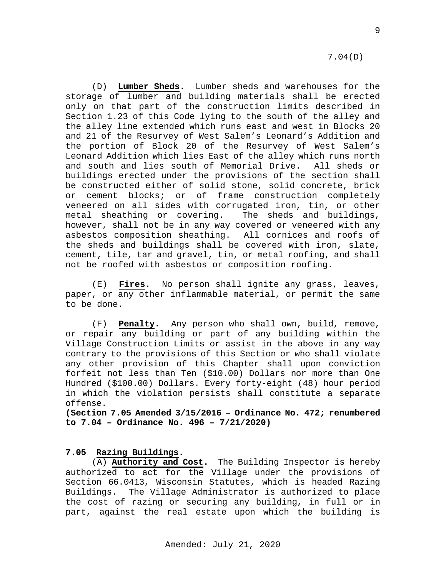7.04(D)

(D) **Lumber Sheds.** Lumber sheds and warehouses for the storage of lumber and building materials shall be erected only on that part of the construction limits described in Section 1.23 of this Code lying to the south of the alley and the alley line extended which runs east and west in Blocks 20 and 21 of the Resurvey of West Salem's Leonard's Addition and the portion of Block 20 of the Resurvey of West Salem's Leonard Addition which lies East of the alley which runs north<br>and south and lies south of Memorial Drive. All sheds or and south and lies south of Memorial Drive. buildings erected under the provisions of the section shall be constructed either of solid stone, solid concrete, brick or cement blocks; or of frame construction completely veneered on all sides with corrugated iron, tin, or other<br>metal sheathing or covering. The sheds and buildings, metal sheathing or covering. however, shall not be in any way covered or veneered with any asbestos composition sheathing. All cornices and roofs of the sheds and buildings shall be covered with iron, slate, cement, tile, tar and gravel, tin, or metal roofing, and shall not be roofed with asbestos or composition roofing.

(E) **Fires**. No person shall ignite any grass, leaves, paper, or any other inflammable material, or permit the same to be done.

(F) **Penalty.** Any person who shall own, build, remove, or repair any building or part of any building within the Village Construction Limits or assist in the above in any way contrary to the provisions of this Section or who shall violate any other provision of this Chapter shall upon conviction forfeit not less than Ten (\$10.00) Dollars nor more than One Hundred (\$100.00) Dollars. Every forty-eight (48) hour period in which the violation persists shall constitute a separate offense.

**(Section 7.05 Amended 3/15/2016 – Ordinance No. 472; renumbered to 7.04 – Ordinance No. 496 – 7/21/2020)**

## <span id="page-8-0"></span>**7.05 Razing Buildings.**

(A) **Authority and Cost.** The Building Inspector is hereby authorized to act for the Village under the provisions of Section 66.0413, Wisconsin Statutes, which is headed Razing Buildings. The Village Administrator is authorized to place the cost of razing or securing any building, in full or in part, against the real estate upon which the building is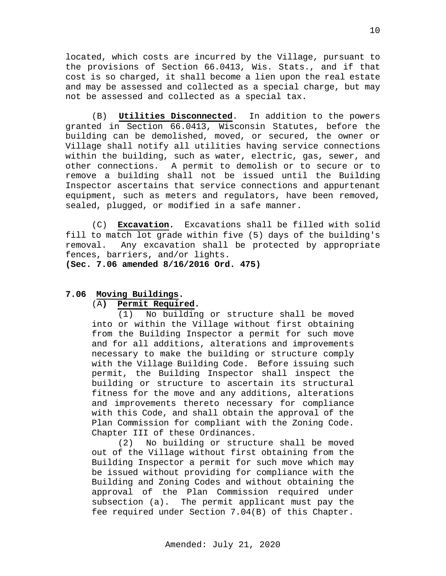located, which costs are incurred by the Village, pursuant to the provisions of Section 66.0413, Wis. Stats., and if that cost is so charged, it shall become a lien upon the real estate and may be assessed and collected as a special charge, but may not be assessed and collected as a special tax.

(B) **Utilities Disconnected**. In addition to the powers granted in Section 66.0413, Wisconsin Statutes, before the building can be demolished, moved, or secured, the owner or Village shall notify all utilities having service connections within the building, such as water, electric, gas, sewer, and other connections. A permit to demolish or to secure or to remove a building shall not be issued until the Building Inspector ascertains that service connections and appurtenant equipment, such as meters and regulators, have been removed, sealed, plugged, or modified in a safe manner.

(C) **Excavation.** Excavations shall be filled with solid fill to match lot grade within five (5) days of the building's removal. Any excavation shall be protected by appropriate fences, barriers, and/or lights.

**(Sec. 7.06 amended 8/16/2016 Ord. 475)**

## **7.06 Moving Buildings.**

## <span id="page-9-0"></span>(A**) Permit Required.**

(1) No building or structure shall be moved into or within the Village without first obtaining from the Building Inspector a permit for such move and for all additions, alterations and improvements necessary to make the building or structure comply with the Village Building Code. Before issuing such permit, the Building Inspector shall inspect the building or structure to ascertain its structural fitness for the move and any additions, alterations and improvements thereto necessary for compliance with this Code, and shall obtain the approval of the Plan Commission for compliant with the Zoning Code. Chapter III of these Ordinances.

(2) No building or structure shall be moved out of the Village without first obtaining from the Building Inspector a permit for such move which may be issued without providing for compliance with the Building and Zoning Codes and without obtaining the approval of the Plan Commission required under subsection (a). The permit applicant must pay the fee required under Section 7.04(B) of this Chapter.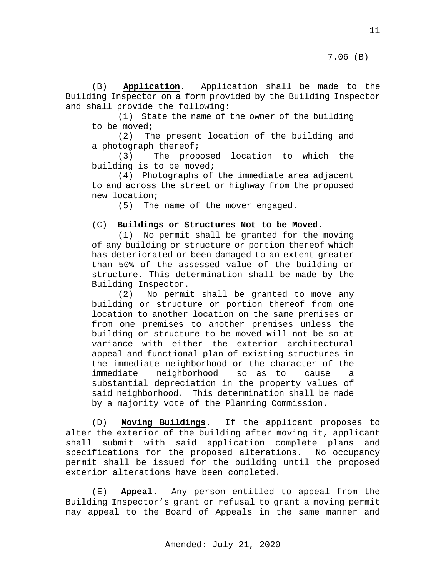(B) **Application**. Application shall be made to the Building Inspector on a form provided by the Building Inspector and shall provide the following:

(1) State the name of the owner of the building to be moved;<br>(2) Th

The present location of the building and a photograph thereof;<br>(3) The prop

The proposed location to which the building is to be moved;

(4) Photographs of the immediate area adjacent to and across the street or highway from the proposed new location;

(5) The name of the mover engaged.

## (C) **Buildings or Structures Not to be Moved.**

(1) No permit shall be granted for the moving of any building or structure or portion thereof which has deteriorated or been damaged to an extent greater than 50% of the assessed value of the building or structure. This determination shall be made by the Building Inspector.

(2) No permit shall be granted to move any building or structure or portion thereof from one location to another location on the same premises or from one premises to another premises unless the building or structure to be moved will not be so at variance with either the exterior architectural appeal and functional plan of existing structures in the immediate neighborhood or the character of the<br>immediate neighborhood so as to cause a neighborhood so as to cause a substantial depreciation in the property values of said neighborhood. This determination shall be made by a majority vote of the Planning Commission.

(D) **Moving Buildings.** If the applicant proposes to alter the exterior of the building after moving it, applicant shall submit with said application complete plans and specifications for the proposed alterations. No occupancy permit shall be issued for the building until the proposed exterior alterations have been completed.

(E) **Appeal.** Any person entitled to appeal from the Building Inspector's grant or refusal to grant a moving permit may appeal to the Board of Appeals in the same manner and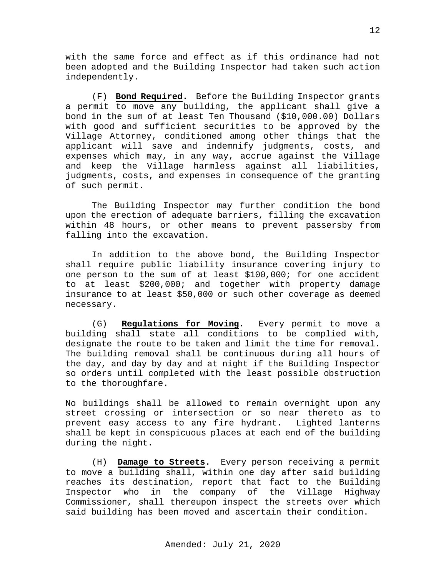with the same force and effect as if this ordinance had not been adopted and the Building Inspector had taken such action independently.

(F) **Bond Required.** Before the Building Inspector grants a permit to move any building, the applicant shall give a bond in the sum of at least Ten Thousand (\$10,000.00) Dollars with good and sufficient securities to be approved by the Village Attorney, conditioned among other things that the applicant will save and indemnify judgments, costs, and expenses which may, in any way, accrue against the Village and keep the Village harmless against all liabilities, judgments, costs, and expenses in consequence of the granting of such permit.

The Building Inspector may further condition the bond upon the erection of adequate barriers, filling the excavation within 48 hours, or other means to prevent passersby from falling into the excavation.

In addition to the above bond, the Building Inspector shall require public liability insurance covering injury to one person to the sum of at least \$100,000; for one accident to at least \$200,000; and together with property damage insurance to at least \$50,000 or such other coverage as deemed necessary.

(G) **Regulations for Moving.** Every permit to move a building shall state all conditions to be complied with, designate the route to be taken and limit the time for removal. The building removal shall be continuous during all hours of the day, and day by day and at night if the Building Inspector so orders until completed with the least possible obstruction to the thoroughfare.

No buildings shall be allowed to remain overnight upon any street crossing or intersection or so near thereto as to prevent easy access to any fire hydrant. Lighted lanterns shall be kept in conspicuous places at each end of the building during the night.

(H) **Damage to Streets.** Every person receiving a permit to move a building shall, within one day after said building reaches its destination, report that fact to the Building<br>Inspector who in the company of the Village Highway the company of the Village Commissioner, shall thereupon inspect the streets over which said building has been moved and ascertain their condition.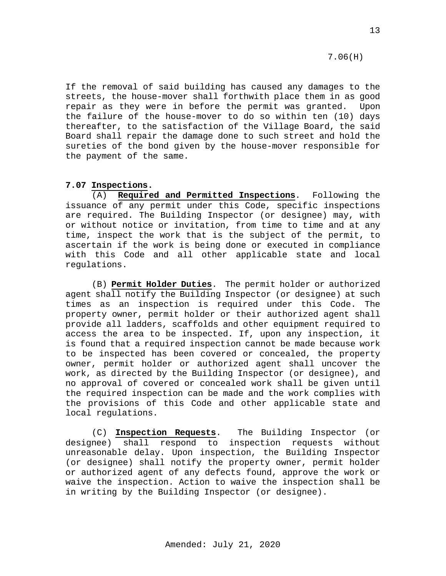7.06(H)

If the removal of said building has caused any damages to the streets, the house-mover shall forthwith place them in as good repair as they were in before the permit was granted. Upon the failure of the house-mover to do so within ten (10) days thereafter, to the satisfaction of the Village Board, the said Board shall repair the damage done to such street and hold the sureties of the bond given by the house-mover responsible for the payment of the same.

## <span id="page-12-0"></span>**7.07 Inspections.**

(A) **Required and Permitted Inspections**. Following the issuance of any permit under this Code, specific inspections are required. The Building Inspector (or designee) may, with or without notice or invitation, from time to time and at any time, inspect the work that is the subject of the permit, to ascertain if the work is being done or executed in compliance with this Code and all other applicable state and local regulations.

(B) **Permit Holder Duties**. The permit holder or authorized agent shall notify the Building Inspector (or designee) at such<br>times as an inspection is required under this Code. The times as an inspection is required under this Code. property owner, permit holder or their authorized agent shall provide all ladders, scaffolds and other equipment required to access the area to be inspected. If, upon any inspection, it is found that a required inspection cannot be made because work to be inspected has been covered or concealed, the property owner, permit holder or authorized agent shall uncover the work, as directed by the Building Inspector (or designee), and no approval of covered or concealed work shall be given until the required inspection can be made and the work complies with the provisions of this Code and other applicable state and local regulations.

(C) **Inspection Requests**. The Building Inspector (or designee) shall respond to inspection requests without unreasonable delay. Upon inspection, the Building Inspector (or designee) shall notify the property owner, permit holder or authorized agent of any defects found, approve the work or waive the inspection. Action to waive the inspection shall be in writing by the Building Inspector (or designee).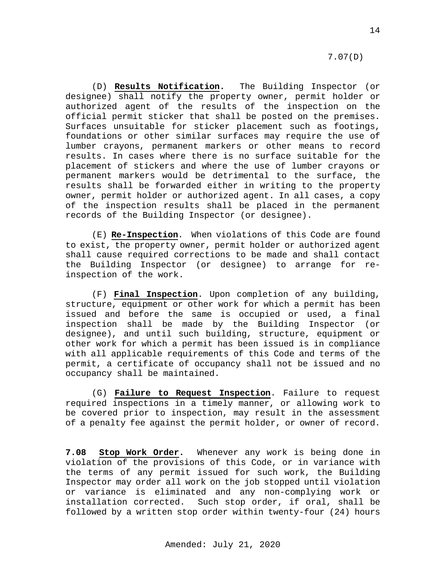(D) **Results Notification.** The Building Inspector (or designee) shall notify the property owner, permit holder or authorized agent of the results of the inspection on the official permit sticker that shall be posted on the premises. Surfaces unsuitable for sticker placement such as footings, foundations or other similar surfaces may require the use of lumber crayons, permanent markers or other means to record results. In cases where there is no surface suitable for the placement of stickers and where the use of lumber crayons or permanent markers would be detrimental to the surface, the results shall be forwarded either in writing to the property owner, permit holder or authorized agent. In all cases, a copy of the inspection results shall be placed in the permanent records of the Building Inspector (or designee).

(E) **Re-Inspection**. When violations of this Code are found to exist, the property owner, permit holder or authorized agent shall cause required corrections to be made and shall contact the Building Inspector (or designee) to arrange for reinspection of the work.

(F) **Final Inspection**. Upon completion of any building, structure, equipment or other work for which a permit has been issued and before the same is occupied or used, a final inspection shall be made by the Building Inspector (or designee), and until such building, structure, equipment or other work for which a permit has been issued is in compliance with all applicable requirements of this Code and terms of the permit, a certificate of occupancy shall not be issued and no occupancy shall be maintained.

(G) **Failure to Request Inspection**. Failure to request required inspections in a timely manner, or allowing work to be covered prior to inspection, may result in the assessment of a penalty fee against the permit holder, or owner of record.

<span id="page-13-0"></span>**7.08 Stop Work Order.** Whenever any work is being done in violation of the provisions of this Code, or in variance with the terms of any permit issued for such work, the Building Inspector may order all work on the job stopped until violation or variance is eliminated and any non-complying work or<br>installation corrected. Such stop order, if oral, shall be Such stop order, if oral, shall be followed by a written stop order within twenty-four (24) hours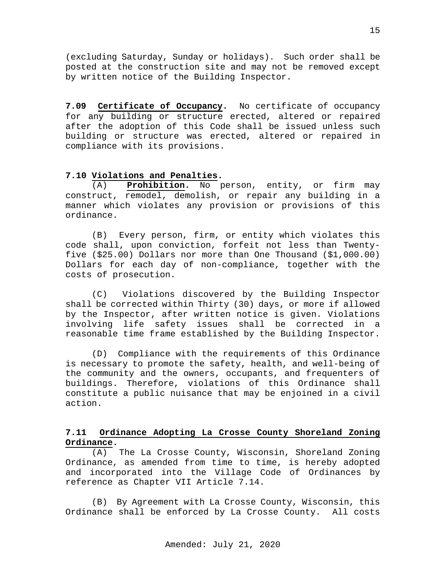(excluding Saturday, Sunday or holidays). Such order shall be posted at the construction site and may not be removed except by written notice of the Building Inspector.

<span id="page-14-0"></span>**7.09 Certificate of Occupancy.** No certificate of occupancy for any building or structure erected, altered or repaired after the adoption of this Code shall be issued unless such building or structure was erected, altered or repaired in compliance with its provisions.

## <span id="page-14-1"></span>**7.10 Violations and Penalties.**

(A) **Prohibition.** No person, entity, or firm may construct, remodel, demolish, or repair any building in a manner which violates any provision or provisions of this ordinance.

(B) Every person, firm, or entity which violates this code shall, upon conviction, forfeit not less than Twentyfive (\$25.00) Dollars nor more than One Thousand (\$1,000.00) Dollars for each day of non-compliance, together with the costs of prosecution.

(C) Violations discovered by the Building Inspector shall be corrected within Thirty (30) days, or more if allowed by the Inspector, after written notice is given. Violations involving life safety issues shall be corrected in a reasonable time frame established by the Building Inspector.

(D) Compliance with the requirements of this Ordinance is necessary to promote the safety, health, and well-being of the community and the owners, occupants, and frequenters of buildings. Therefore, violations of this Ordinance shall constitute a public nuisance that may be enjoined in a civil action.

## <span id="page-14-2"></span>**7.11 Ordinance Adopting La Crosse County Shoreland Zoning Ordinance.**

(A) The La Crosse County, Wisconsin, Shoreland Zoning Ordinance, as amended from time to time, is hereby adopted and incorporated into the Village Code of Ordinances by reference as Chapter VII Article 7.14.

(B) By Agreement with La Crosse County, Wisconsin, this Ordinance shall be enforced by La Crosse County. All costs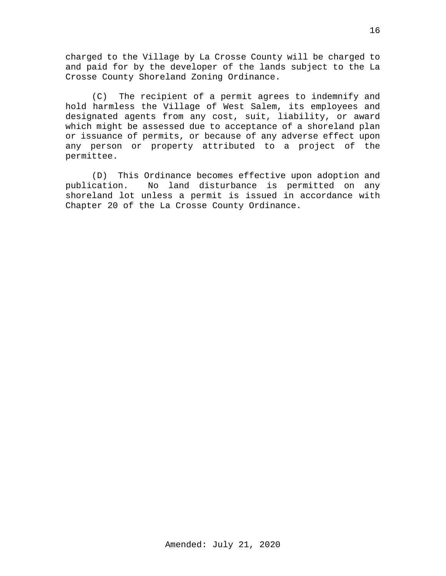charged to the Village by La Crosse County will be charged to and paid for by the developer of the lands subject to the La Crosse County Shoreland Zoning Ordinance.

(C) The recipient of a permit agrees to indemnify and hold harmless the Village of West Salem, its employees and designated agents from any cost, suit, liability, or award which might be assessed due to acceptance of a shoreland plan or issuance of permits, or because of any adverse effect upon any person or property attributed to a project of the permittee.

(D) This Ordinance becomes effective upon adoption and publication. No land disturbance is permitted on any No land disturbance is permitted on any shoreland lot unless a permit is issued in accordance with Chapter 20 of the La Crosse County Ordinance.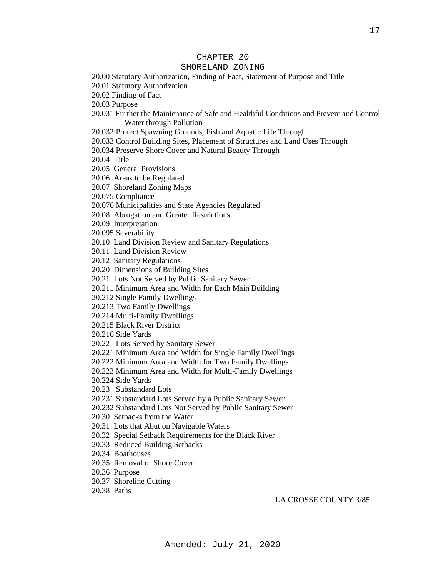## CHAPTER 20

#### SHORELAND ZONING

20.00 Statutory Authorization, Finding of Fact, Statement of Purpose and Title

20.01 Statutory Authorization

20.02 Finding of Fact

20.03 Purpose

20.031 Further the Maintenance of Safe and Healthful Conditions and Prevent and Control Water through Pollution

20.032 Protect Spawning Grounds, Fish and Aquatic Life Through

20.033 Control Building Sites, Placement of Structures and Land Uses Through

20.034 Preserve Shore Cover and Natural Beauty Through

20.04 Title

20.05 General Provisions

20.06 Areas to be Regulated

20.07 Shoreland Zoning Maps

20.075 Compliance

20.076 Municipalities and State Agencies Regulated

20.08 Abrogation and Greater Restrictions

20.09 Interpretation

20.095 Severability

20.10 Land Division Review and Sanitary Regulations

20.11 Land Division Review

20.12 Sanitary Regulations

20.20 Dimensions of Building Sites

20.21 Lots Not Served by Public Sanitary Sewer

20.211 Minimum Area and Width for Each Main Building

20.212 Single Family Dwellings

20.213 Two Family Dwellings

20.214 Multi-Family Dwellings

20.215 Black River District

20.216 Side Yards

20.22 Lots Served by Sanitary Sewer

20.221 Minimum Area and Width for Single Family Dwellings

20.222 Minimum Area and Width for Two Family Dwellings

20.223 Minimum Area and Width for Multi-Family Dwellings

20.224 Side Yards

20.23 Substandard Lots

20.231 Substandard Lots Served by a Public Sanitary Sewer

20.232 Substandard Lots Not Served by Public Sanitary Sewer

20.30 Setbacks from the Water

20.31 Lots that Abut on Navigable Waters

20.32 Special Setback Requirements for the Black River

20.33 Reduced Building Setbacks

20.34 Boathouses

20.35 Removal of Shore Cover

20.36 Purpose

20.37 Shoreline Cutting

20.38 Paths

LA CROSSE COUNTY 3/85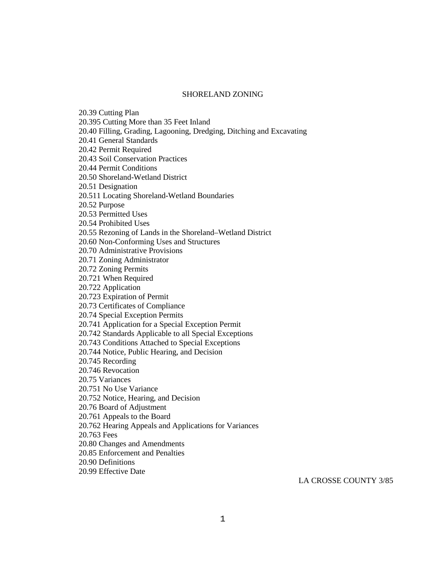#### SHORELAND ZONING

20.39 Cutting Plan 20.395 Cutting More than 35 Feet Inland 20.40 Filling, Grading, Lagooning, Dredging, Ditching and Excavating 20.41 General Standards 20.42 Permit Required 20.43 Soil Conservation Practices 20.44 Permit Conditions 20.50 Shoreland-Wetland District 20.51 Designation 20.511 Locating Shoreland-Wetland Boundaries 20.52 Purpose 20.53 Permitted Uses 20.54 Prohibited Uses 20.55 Rezoning of Lands in the Shoreland–Wetland District 20.60 Non-Conforming Uses and Structures 20.70 Administrative Provisions 20.71 Zoning Administrator 20.72 Zoning Permits 20.721 When Required 20.722 Application 20.723 Expiration of Permit 20.73 Certificates of Compliance 20.74 Special Exception Permits 20.741 Application for a Special Exception Permit 20.742 Standards Applicable to all Special Exceptions 20.743 Conditions Attached to Special Exceptions 20.744 Notice, Public Hearing, and Decision 20.745 Recording 20.746 Revocation 20.75 Variances 20.751 No Use Variance 20.752 Notice, Hearing, and Decision 20.76 Board of Adjustment 20.761 Appeals to the Board 20.762 Hearing Appeals and Applications for Variances 20.763 Fees 20.80 Changes and Amendments 20.85 Enforcement and Penalties 20.90 Definitions 20.99 Effective Date

LA CROSSE COUNTY 3/85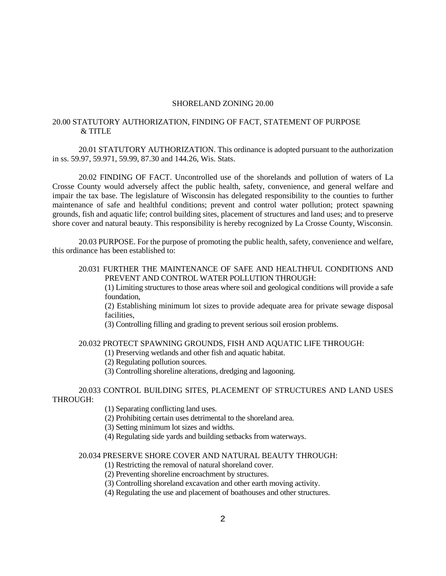#### SHORELAND ZONING 20.00

#### 20.00 STATUTORY AUTHORIZATION, FINDING OF FACT, STATEMENT OF PURPOSE & TITLE

20.01 STATUTORY AUTHORIZATION. This ordinance is adopted pursuant to the authorization in ss. 59.97, 59.971, 59.99, 87.30 and 144.26, Wis. Stats.

20.02 FINDING OF FACT. Uncontrolled use of the shorelands and pollution of waters of La Crosse County would adversely affect the public health, safety, convenience, and general welfare and impair the tax base. The legislature of Wisconsin has delegated responsibility to the counties to further maintenance of safe and healthful conditions; prevent and control water pollution; protect spawning grounds, fish and aquatic life; control building sites, placement of structures and land uses; and to preserve shore cover and natural beauty. This responsibility is hereby recognized by La Crosse County, Wisconsin.

20.03 PURPOSE. For the purpose of promoting the public health, safety, convenience and welfare, this ordinance has been established to:

## 20.031 FURTHER THE MAINTENANCE OF SAFE AND HEALTHFUL CONDITIONS AND PREVENT AND CONTROL WATER POLLUTION THROUGH:

(1) Limiting structures to those areas where soil and geological conditions will provide a safe foundation,

(2) Establishing minimum lot sizes to provide adequate area for private sewage disposal facilities,

(3) Controlling filling and grading to prevent serious soil erosion problems.

## 20.032 PROTECT SPAWNING GROUNDS, FISH AND AQUATIC LIFE THROUGH:

(1) Preserving wetlands and other fish and aquatic habitat.

(2) Regulating pollution sources.

(3) Controlling shoreline alterations, dredging and lagooning.

20.033 CONTROL BUILDING SITES, PLACEMENT OF STRUCTURES AND LAND USES THROUGH:

(1) Separating conflicting land uses.

(2) Prohibiting certain uses detrimental to the shoreland area.

(3) Setting minimum lot sizes and widths.

(4) Regulating side yards and building setbacks from waterways.

## 20.034 PRESERVE SHORE COVER AND NATURAL BEAUTY THROUGH:

(1) Restricting the removal of natural shoreland cover.

(2) Preventing shoreline encroachment by structures.

(3) Controlling shoreland excavation and other earth moving activity.

(4) Regulating the use and placement of boathouses and other structures.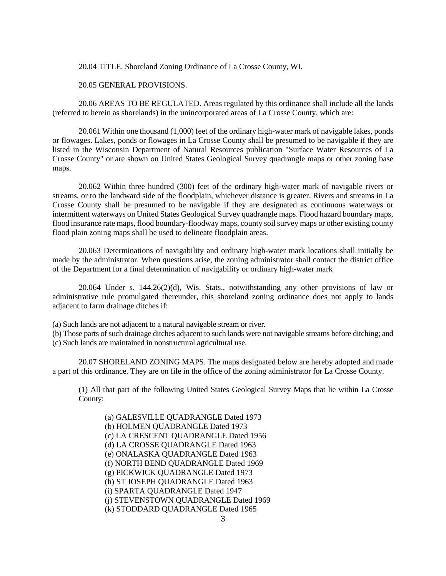20.04 TITLE. Shoreland Zoning Ordinance of La Crosse County, WI.

20.05 GENERAL PROVISIONS.

20.06 AREAS TO BE REGULATED. Areas regulated by this ordinance shall include all the lands (referred to herein as shorelands) in the unincorporated areas of La Crosse County, which are:

20.061 Within one thousand (1,000) feet of the ordinary high-water mark of navigable lakes, ponds or flowages. Lakes, ponds or flowages in La Crosse County shall be presumed to be navigable if they are listed in the Wisconsin Department of Natural Resources publication "Surface Water Resources of La Crosse County" or are shown on United States Geological Survey quadrangle maps or other zoning base maps.

20.062 Within three hundred (300) feet of the ordinary high-water mark of navigable rivers or streams, or to the landward side of the floodplain, whichever distance is greater. Rivers and streams in La Crosse County shall be presumed to be navigable if they are designated as continuous waterways or intermittent waterways on United States Geological Survey quadrangle maps. Flood hazard boundary maps, flood insurance rate maps, flood boundary-floodway maps, county soil survey maps or other existing county flood plain zoning maps shall be used to delineate floodplain areas.

20.063 Determinations of navigability and ordinary high-water mark locations shall initially be made by the administrator. When questions arise, the zoning administrator shall contact the district office of the Department for a final determination of navigability or ordinary high-water mark

20.064 Under s. 144.26(2)(d), Wis. Stats., notwithstanding any other provisions of law or administrative rule promulgated thereunder, this shoreland zoning ordinance does not apply to lands adjacent to farm drainage ditches if:

(a) Such lands are not adjacent to a natural navigable stream or river.

(b) Those parts of such drainage ditches adjacent to such lands were not navigable streams before ditching; and (c) Such lands are maintained in nonstructural agricultural use.

20.07 SHORELAND ZONING MAPS. The maps designated below are hereby adopted and made a part of this ordinance. They are on file in the office of the zoning administrator for La Crosse County.

(1) All that part of the following United States Geological Survey Maps that lie within La Crosse County:

(a) GALESVILLE QUADRANGLE Dated 1973 (b) HOLMEN QUADRANGLE Dated 1973 (c) LA CRESCENT QUADRANGLE Dated 1956 (d) LA CROSSE QUADRANGLE Dated 1963 (e) ONALASKA QUADRANGLE Dated 1963 (f) NORTH BEND QUADRANGLE Dated 1969 (g) PICKWICK QUADRANGLE Dated 1973 (h) ST JOSEPH QUADRANGLE Dated 1963 (i) SPARTA QUADRANGLE Dated 1947 (j) STEVENSTOWN QUADRANGLE Dated 1969 (k) STODDARD QUADRANGLE Dated 1965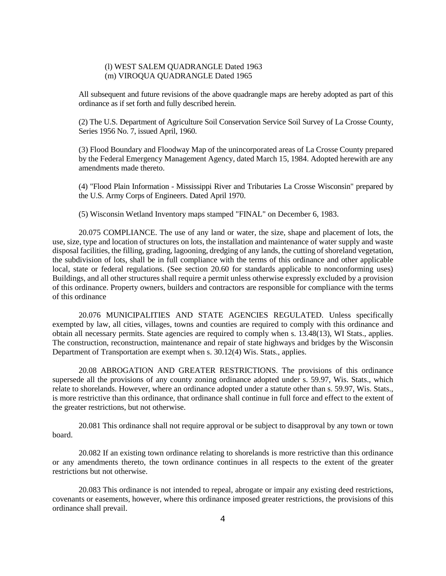### (l) WEST SALEM QUADRANGLE Dated 1963 (m) VIROQUA QUADRANGLE Dated 1965

All subsequent and future revisions of the above quadrangle maps are hereby adopted as part of this ordinance as if set forth and fully described herein.

(2) The U.S. Department of Agriculture Soil Conservation Service Soil Survey of La Crosse County, Series 1956 No. 7, issued April, 1960.

(3) Flood Boundary and Floodway Map of the unincorporated areas of La Crosse County prepared by the Federal Emergency Management Agency, dated March 15, 1984. Adopted herewith are any amendments made thereto.

(4) "Flood Plain Information - Mississippi River and Tributaries La Crosse Wisconsin" prepared by the U.S. Army Corps of Engineers. Dated April 1970.

(5) Wisconsin Wetland Inventory maps stamped "FINAL" on December 6, 1983.

20.075 COMPLIANCE. The use of any land or water, the size, shape and placement of lots, the use, size, type and location of structures on lots, the installation and maintenance of water supply and waste disposal facilities, the filling, grading, lagooning, dredging of any lands, the cutting of shoreland vegetation, the subdivision of lots, shall be in full compliance with the terms of this ordinance and other applicable local, state or federal regulations. (See section 20.60 for standards applicable to nonconforming uses) Buildings, and all other structures shall require a permit unless otherwise expressly excluded by a provision of this ordinance. Property owners, builders and contractors are responsible for compliance with the terms of this ordinance

20.076 MUNICIPALITIES AND STATE AGENCIES REGULATED. Unless specifically exempted by law, all cities, villages, towns and counties are required to comply with this ordinance and obtain all necessary permits. State agencies are required to comply when s. 13.48(13), WI Stats., applies. The construction, reconstruction, maintenance and repair of state highways and bridges by the Wisconsin Department of Transportation are exempt when s. 30.12(4) Wis. Stats., applies.

20.08 ABROGATION AND GREATER RESTRICTIONS. The provisions of this ordinance supersede all the provisions of any county zoning ordinance adopted under s. 59.97, Wis. Stats., which relate to shorelands. However, where an ordinance adopted under a statute other than s. 59.97, Wis. Stats., is more restrictive than this ordinance, that ordinance shall continue in full force and effect to the extent of the greater restrictions, but not otherwise.

20.081 This ordinance shall not require approval or be subject to disapproval by any town or town board.

20.082 If an existing town ordinance relating to shorelands is more restrictive than this ordinance or any amendments thereto, the town ordinance continues in all respects to the extent of the greater restrictions but not otherwise.

20.083 This ordinance is not intended to repeal, abrogate or impair any existing deed restrictions, covenants or easements, however, where this ordinance imposed greater restrictions, the provisions of this ordinance shall prevail.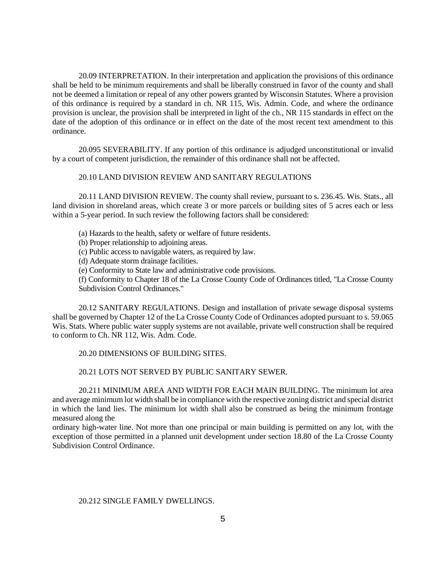20.09 INTERPRETATION. In their interpretation and application the provisions of this ordinance shall be held to be minimum requirements and shall be liberally construed in favor of the county and shall not be deemed a limitation or repeal of any other powers granted by Wisconsin Statutes. Where a provision of this ordinance is required by a standard in ch. NR 115, Wis. Admin. Code, and where the ordinance provision is unclear, the provision shall be interpreted in light of the ch., NR 115 standards in effect on the date of the adoption of this ordinance or in effect on the date of the most recent text amendment to this ordinance.

20.095 SEVERABILITY. If any portion of this ordinance is adjudged unconstitutional or invalid by a court of competent jurisdiction, the remainder of this ordinance shall not be affected.

### 20.10 LAND DIVISION REVIEW AND SANITARY REGULATIONS

20.11 LAND DIVISION REVIEW. The county shall review, pursuant to s. 236.45. Wis. Stats., all land division in shoreland areas, which create 3 or more parcels or building sites of 5 acres each or less within a 5-year period. In such review the following factors shall be considered:

- (a) Hazards to the health, safety or welfare of future residents.
- (b) Proper relationship to adjoining areas.
- (c) Public access to navigable waters, as required by law.
- (d) Adequate storm drainage facilities.
- (e) Conformity to State law and administrative code provisions.

(f) Conformity to Chapter 18 of the La Crosse County Code of Ordinances titled, "La Crosse County Subdivision Control Ordinances."

20.12 SANITARY REGULATIONS. Design and installation of private sewage disposal systems shall be governed by Chapter 12 of the La Crosse County Code of Ordinances adopted pursuant to s. 59.065 Wis. Stats. Where public water supply systems are not available, private well construction shall be required to conform to Ch. NR 112, Wis. Adm. Code.

### 20.20 DIMENSIONS OF BUILDING SITES.

## 20.21 LOTS NOT SERVED BY PUBLIC SANITARY SEWER.

20.211 MINIMUM AREA AND WIDTH FOR EACH MAIN BUILDING. The minimum lot area and average minimum lot width shall be in compliance with the respective zoning district and special district in which the land lies. The minimum lot width shall also be construed as being the minimum frontage measured along the

ordinary high-water line. Not more than one principal or main building is permitted on any lot, with the exception of those permitted in a planned unit development under section 18.80 of the La Crosse County Subdivision Control Ordinance.

## 20.212 SINGLE FAMILY DWELLINGS.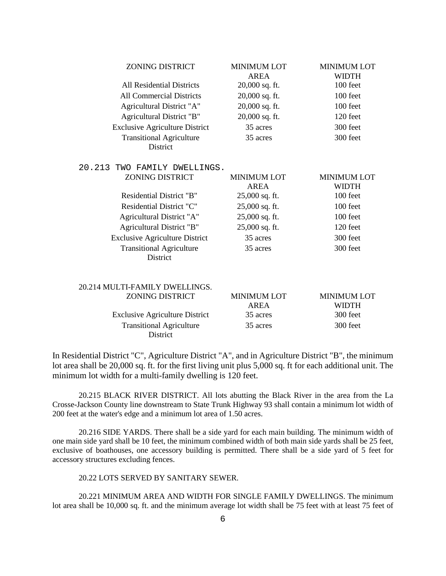| <b>ZONING DISTRICT</b>                             | <b>MINIMUM LOT</b><br><b>AREA</b> | <b>MINIMUM LOT</b><br><b>WIDTH</b> |
|----------------------------------------------------|-----------------------------------|------------------------------------|
| <b>All Residential Districts</b>                   | 20,000 sq. ft.                    | 100 feet                           |
| <b>All Commercial Districts</b>                    | 20,000 sq. ft.                    | 100 feet                           |
| Agricultural District "A"                          | 20,000 sq. ft.                    | 100 feet                           |
| Agricultural District "B"                          | 20,000 sq. ft.                    | 120 feet                           |
| <b>Exclusive Agriculture District</b>              | 35 acres                          | 300 feet                           |
| <b>Transitional Agriculture</b><br><b>District</b> | 35 acres                          | 300 feet                           |
| 20.213 TWO FAMILY DWELLINGS.                       |                                   |                                    |
| <b>ZONING DISTRICT</b>                             | <b>MINIMUM LOT</b><br><b>AREA</b> | <b>MINIMUM LOT</b><br><b>WIDTH</b> |
| Residential District "B"                           | 25,000 sq. ft.                    | 100 feet                           |
| Residential District "C"                           | 25,000 sq. ft.                    | 100 feet                           |
| Agricultural District "A"                          | 25,000 sq. ft.                    | 100 feet                           |
| Agricultural District "B"                          | 25,000 sq. ft.                    | 120 feet                           |
| <b>Exclusive Agriculture District</b>              | 35 acres                          | 300 feet                           |
| <b>Transitional Agriculture</b><br>District        | 35 acres                          | 300 feet                           |
| 20.214 MULTI-FAMILY DWELLINGS.                     |                                   |                                    |
| <b>ZONING DISTRICT</b>                             | <b>MINIMUM LOT</b><br><b>AREA</b> | <b>MINIMUM LOT</b><br><b>WIDTH</b> |
| <b>Exclusive Agriculture District</b>              | 35 acres                          | 300 feet                           |
| <b>Transitional Agriculture</b><br>District        | 35 acres                          | 300 feet                           |

In Residential District "C", Agriculture District "A", and in Agriculture District "B", the minimum lot area shall be 20,000 sq. ft. for the first living unit plus 5,000 sq. ft for each additional unit. The minimum lot width for a multi-family dwelling is 120 feet.

20.215 BLACK RIVER DISTRICT. All lots abutting the Black River in the area from the La Crosse-Jackson County line downstream to State Trunk Highway 93 shall contain a minimum lot width of 200 feet at the water's edge and a minimum lot area of 1.50 acres.

20.216 SIDE YARDS. There shall be a side yard for each main building. The minimum width of one main side yard shall be 10 feet, the minimum combined width of both main side yards shall be 25 feet, exclusive of boathouses, one accessory building is permitted. There shall be a side yard of 5 feet for accessory structures excluding fences.

20.22 LOTS SERVED BY SANITARY SEWER.

20.221 MINIMUM AREA AND WIDTH FOR SINGLE FAMILY DWELLINGS. The minimum lot area shall be 10,000 sq. ft. and the minimum average lot width shall be 75 feet with at least 75 feet of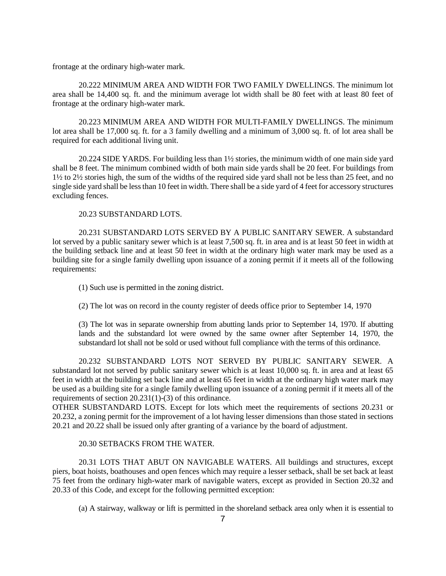frontage at the ordinary high-water mark.

20.222 MINIMUM AREA AND WIDTH FOR TWO FAMILY DWELLINGS. The minimum lot area shall be 14,400 sq. ft. and the minimum average lot width shall be 80 feet with at least 80 feet of frontage at the ordinary high-water mark.

20.223 MINIMUM AREA AND WIDTH FOR MULTI-FAMILY DWELLINGS. The minimum lot area shall be 17,000 sq. ft. for a 3 family dwelling and a minimum of 3,000 sq. ft. of lot area shall be required for each additional living unit.

20.224 SIDE YARDS. For building less than 1½ stories, the minimum width of one main side yard shall be 8 feet. The minimum combined width of both main side yards shall be 20 feet. For buildings from 1½ to 2½ stories high, the sum of the widths of the required side yard shall not be less than 25 feet, and no single side yard shall be less than 10 feet in width. There shall be a side yard of 4 feet for accessory structures excluding fences.

## 20.23 SUBSTANDARD LOTS.

20.231 SUBSTANDARD LOTS SERVED BY A PUBLIC SANITARY SEWER. A substandard lot served by a public sanitary sewer which is at least 7,500 sq. ft. in area and is at least 50 feet in width at the building setback line and at least 50 feet in width at the ordinary high water mark may be used as a building site for a single family dwelling upon issuance of a zoning permit if it meets all of the following requirements:

(1) Such use is permitted in the zoning district.

(2) The lot was on record in the county register of deeds office prior to September 14, 1970

(3) The lot was in separate ownership from abutting lands prior to September 14, 1970. If abutting lands and the substandard lot were owned by the same owner after September 14, 1970, the substandard lot shall not be sold or used without full compliance with the terms of this ordinance.

20.232 SUBSTANDARD LOTS NOT SERVED BY PUBLIC SANITARY SEWER. A substandard lot not served by public sanitary sewer which is at least 10,000 sq. ft. in area and at least 65 feet in width at the building set back line and at least 65 feet in width at the ordinary high water mark may be used as a building site for a single family dwelling upon issuance of a zoning permit if it meets all of the requirements of section 20.231(1)-(3) of this ordinance.

OTHER SUBSTANDARD LOTS. Except for lots which meet the requirements of sections 20.231 or 20.232, a zoning permit for the improvement of a lot having lesser dimensions than those stated in sections 20.21 and 20.22 shall be issued only after granting of a variance by the board of adjustment.

## 20.30 SETBACKS FROM THE WATER.

20.31 LOTS THAT ABUT ON NAVIGABLE WATERS. All buildings and structures, except piers, boat hoists, boathouses and open fences which may require a lesser setback, shall be set back at least 75 feet from the ordinary high-water mark of navigable waters, except as provided in Section 20.32 and 20.33 of this Code, and except for the following permitted exception:

(a) A stairway, walkway or lift is permitted in the shoreland setback area only when it is essential to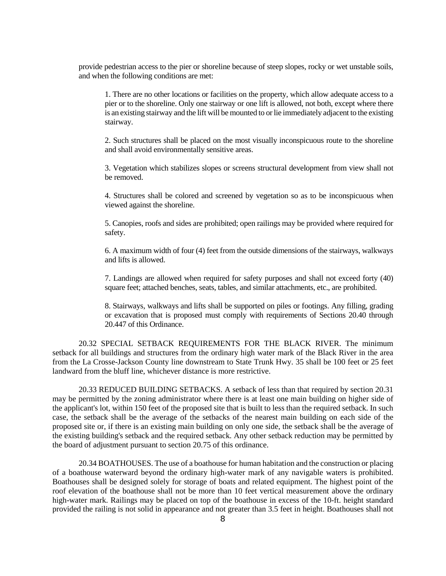provide pedestrian access to the pier or shoreline because of steep slopes, rocky or wet unstable soils, and when the following conditions are met:

1. There are no other locations or facilities on the property, which allow adequate access to a pier or to the shoreline. Only one stairway or one lift is allowed, not both, except where there is an existing stairway and the lift will be mounted to or lie immediately adjacent to the existing stairway.

2. Such structures shall be placed on the most visually inconspicuous route to the shoreline and shall avoid environmentally sensitive areas.

3. Vegetation which stabilizes slopes or screens structural development from view shall not be removed.

4. Structures shall be colored and screened by vegetation so as to be inconspicuous when viewed against the shoreline.

5. Canopies, roofs and sides are prohibited; open railings may be provided where required for safety.

6. A maximum width of four (4) feet from the outside dimensions of the stairways, walkways and lifts is allowed.

7. Landings are allowed when required for safety purposes and shall not exceed forty (40) square feet; attached benches, seats, tables, and similar attachments, etc., are prohibited.

8. Stairways, walkways and lifts shall be supported on piles or footings. Any filling, grading or excavation that is proposed must comply with requirements of Sections 20.40 through 20.447 of this Ordinance.

20.32 SPECIAL SETBACK REQUIREMENTS FOR THE BLACK RIVER. The minimum setback for all buildings and structures from the ordinary high water mark of the Black River in the area from the La Crosse-Jackson County line downstream to State Trunk Hwy. 35 shall be 100 feet or 25 feet landward from the bluff line, whichever distance is more restrictive.

20.33 REDUCED BUILDING SETBACKS. A setback of less than that required by section 20.31 may be permitted by the zoning administrator where there is at least one main building on higher side of the applicant's lot, within 150 feet of the proposed site that is built to less than the required setback. In such case, the setback shall be the average of the setbacks of the nearest main building on each side of the proposed site or, if there is an existing main building on only one side, the setback shall be the average of the existing building's setback and the required setback. Any other setback reduction may be permitted by the board of adjustment pursuant to section 20.75 of this ordinance.

20.34 BOATHOUSES. The use of a boathouse for human habitation and the construction or placing of a boathouse waterward beyond the ordinary high-water mark of any navigable waters is prohibited. Boathouses shall be designed solely for storage of boats and related equipment. The highest point of the roof elevation of the boathouse shall not be more than 10 feet vertical measurement above the ordinary high-water mark. Railings may be placed on top of the boathouse in excess of the 10-ft. height standard provided the railing is not solid in appearance and not greater than 3.5 feet in height. Boathouses shall not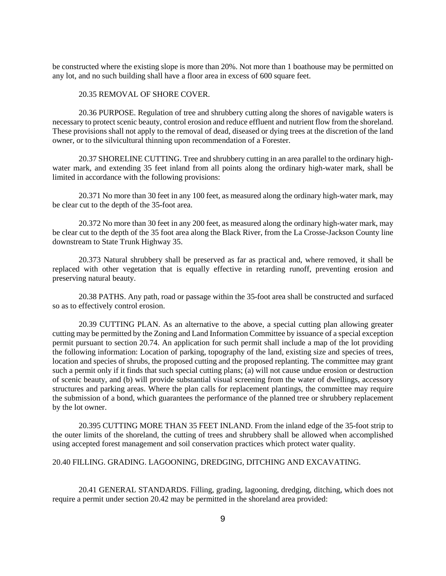be constructed where the existing slope is more than 20%. Not more than 1 boathouse may be permitted on any lot, and no such building shall have a floor area in excess of 600 square feet.

#### 20.35 REMOVAL OF SHORE COVER.

20.36 PURPOSE. Regulation of tree and shrubbery cutting along the shores of navigable waters is necessary to protect scenic beauty, control erosion and reduce effluent and nutrient flow from the shoreland. These provisions shall not apply to the removal of dead, diseased or dying trees at the discretion of the land owner, or to the silvicultural thinning upon recommendation of a Forester.

20.37 SHORELINE CUTTING. Tree and shrubbery cutting in an area parallel to the ordinary highwater mark, and extending 35 feet inland from all points along the ordinary high-water mark, shall be limited in accordance with the following provisions:

20.371 No more than 30 feet in any 100 feet, as measured along the ordinary high-water mark, may be clear cut to the depth of the 35-foot area.

20.372 No more than 30 feet in any 200 feet, as measured along the ordinary high-water mark, may be clear cut to the depth of the 35 foot area along the Black River, from the La Crosse-Jackson County line downstream to State Trunk Highway 35.

20.373 Natural shrubbery shall be preserved as far as practical and, where removed, it shall be replaced with other vegetation that is equally effective in retarding runoff, preventing erosion and preserving natural beauty.

20.38 PATHS. Any path, road or passage within the 35-foot area shall be constructed and surfaced so as to effectively control erosion.

20.39 CUTTING PLAN. As an alternative to the above, a special cutting plan allowing greater cutting may be permitted by the Zoning and Land Information Committee by issuance of a special exception permit pursuant to section 20.74. An application for such permit shall include a map of the lot providing the following information: Location of parking, topography of the land, existing size and species of trees, location and species of shrubs, the proposed cutting and the proposed replanting. The committee may grant such a permit only if it finds that such special cutting plans; (a) will not cause undue erosion or destruction of scenic beauty, and (b) will provide substantial visual screening from the water of dwellings, accessory structures and parking areas. Where the plan calls for replacement plantings, the committee may require the submission of a bond, which guarantees the performance of the planned tree or shrubbery replacement by the lot owner.

20.395 CUTTING MORE THAN 35 FEET INLAND. From the inland edge of the 35-foot strip to the outer limits of the shoreland, the cutting of trees and shrubbery shall be allowed when accomplished using accepted forest management and soil conservation practices which protect water quality.

20.40 FILLING. GRADING. LAGOONING, DREDGING, DITCHING AND EXCAVATING.

20.41 GENERAL STANDARDS. Filling, grading, lagooning, dredging, ditching, which does not require a permit under section 20.42 may be permitted in the shoreland area provided: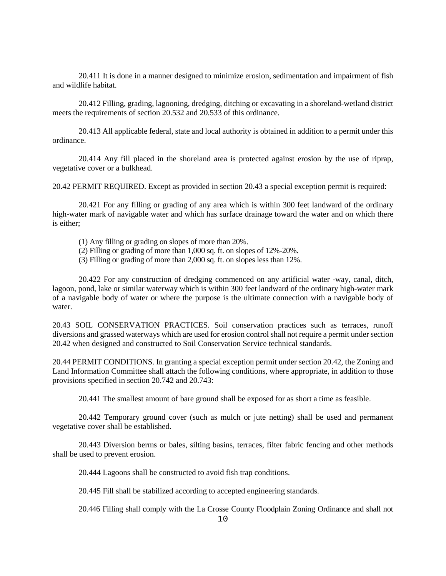20.411 It is done in a manner designed to minimize erosion, sedimentation and impairment of fish and wildlife habitat.

20.412 Filling, grading, lagooning, dredging, ditching or excavating in a shoreland-wetland district meets the requirements of section 20.532 and 20.533 of this ordinance.

20.413 All applicable federal, state and local authority is obtained in addition to a permit under this ordinance.

20.414 Any fill placed in the shoreland area is protected against erosion by the use of riprap, vegetative cover or a bulkhead.

20.42 PERMIT REQUIRED. Except as provided in section 20.43 a special exception permit is required:

20.421 For any filling or grading of any area which is within 300 feet landward of the ordinary high-water mark of navigable water and which has surface drainage toward the water and on which there is either;

(1) Any filling or grading on slopes of more than 20%.

- (2) Filling or grading of more than 1,000 sq. ft. on slopes of 12%-20%.
- (3) Filling or grading of more than 2,000 sq. ft. on slopes less than 12%.

20.422 For any construction of dredging commenced on any artificial water -way, canal, ditch, lagoon, pond, lake or similar waterway which is within 300 feet landward of the ordinary high-water mark of a navigable body of water or where the purpose is the ultimate connection with a navigable body of water.

20.43 SOIL CONSERVATION PRACTICES. Soil conservation practices such as terraces, runoff diversions and grassed waterways which are used for erosion control shall not require a permit under section 20.42 when designed and constructed to Soil Conservation Service technical standards.

20.44 PERMIT CONDITIONS. In granting a special exception permit under section 20.42, the Zoning and Land Information Committee shall attach the following conditions, where appropriate, in addition to those provisions specified in section 20.742 and 20.743:

20.441 The smallest amount of bare ground shall be exposed for as short a time as feasible.

20.442 Temporary ground cover (such as mulch or jute netting) shall be used and permanent vegetative cover shall be established.

20.443 Diversion berms or bales, silting basins, terraces, filter fabric fencing and other methods shall be used to prevent erosion.

20.444 Lagoons shall be constructed to avoid fish trap conditions.

20.445 Fill shall be stabilized according to accepted engineering standards.

20.446 Filling shall comply with the La Crosse County Floodplain Zoning Ordinance and shall not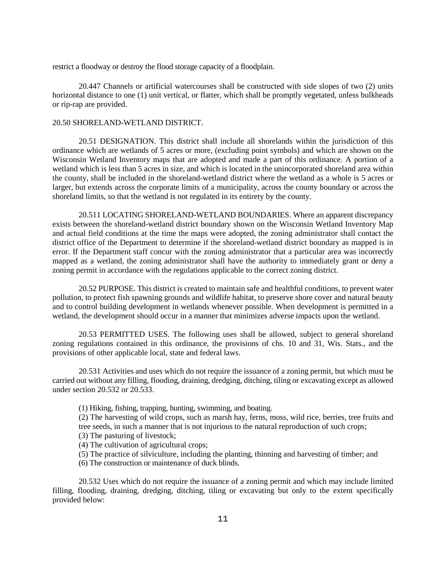restrict a floodway or destroy the flood storage capacity of a floodplain.

20.447 Channels or artificial watercourses shall be constructed with side slopes of two (2) units horizontal distance to one (1) unit vertical, or flatter, which shall be promptly vegetated, unless bulkheads or rip-rap are provided.

#### 20.50 SHORELAND-WETLAND DISTRICT.

20.51 DESIGNATION. This district shall include all shorelands within the jurisdiction of this ordinance which are wetlands of 5 acres or more, (excluding point symbols) and which are shown on the Wisconsin Wetland Inventory maps that are adopted and made a part of this ordinance. A portion of a wetland which is less than 5 acres in size, and which is located in the unincorporated shoreland area within the county, shall be included in the shoreland-wetland district where the wetland as a whole is 5 acres or larger, but extends across the corporate limits of a municipality, across the county boundary or across the shoreland limits, so that the wetland is not regulated in its entirety by the county.

20.511 LOCATING SHORELAND-WETLAND BOUNDARIES. Where an apparent discrepancy exists between the shoreland-wetland district boundary shown on the Wisconsin Wetland Inventory Map and actual field conditions at the time the maps were adopted, the zoning administrator shall contact the district office of the Department to determine if the shoreland-wetland district boundary as mapped is in error. If the Department staff concur with the zoning administrator that a particular area was incorrectly mapped as a wetland, the zoning administrator shall have the authority to immediately grant or deny a zoning permit in accordance with the regulations applicable to the correct zoning district.

20.52 PURPOSE. This district is created to maintain safe and healthful conditions, to prevent water pollution, to protect fish spawning grounds and wildlife habitat, to preserve shore cover and natural beauty and to control building development in wetlands whenever possible. When development is permitted in a wetland, the development should occur in a manner that minimizes adverse impacts upon the wetland.

20.53 PERMITTED USES. The following uses shall be allowed, subject to general shoreland zoning regulations contained in this ordinance, the provisions of chs. 10 and 31, Wis. Stats., and the provisions of other applicable local, state and federal laws.

20.531 Activities and uses which do not require the issuance of a zoning permit, but which must be carried out without any filling, flooding, draining, dredging, ditching, tiling or excavating except as allowed under section 20.532 or 20.533.

(1) Hiking, fishing, trapping, hunting, swimming, and boating.

(2) The harvesting of wild crops, such as marsh hay, ferns, moss, wild rice, berries, tree fruits and tree seeds, in such a manner that is not injurious to the natural reproduction of such crops;

- (3) The pasturing of livestock;
- (4) The cultivation of agricultural crops;
- (5) The practice of silviculture, including the planting, thinning and harvesting of timber; and
- (6) The construction or maintenance of duck blinds.

20.532 Uses which do not require the issuance of a zoning permit and which may include limited filling, flooding, draining, dredging, ditching, tiling or excavating but only to the extent specifically provided below: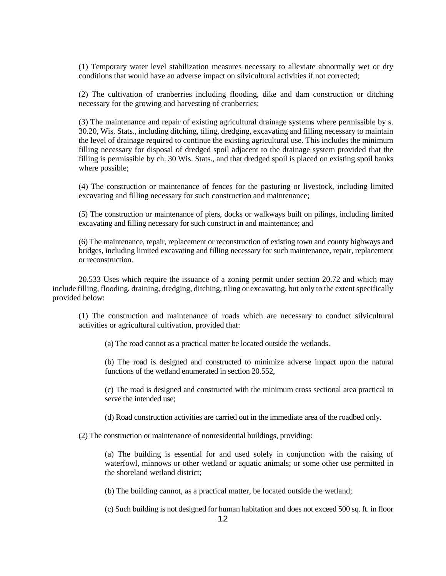(1) Temporary water level stabilization measures necessary to alleviate abnormally wet or dry conditions that would have an adverse impact on silvicultural activities if not corrected;

(2) The cultivation of cranberries including flooding, dike and dam construction or ditching necessary for the growing and harvesting of cranberries;

(3) The maintenance and repair of existing agricultural drainage systems where permissible by s. 30.20, Wis. Stats., including ditching, tiling, dredging, excavating and filling necessary to maintain the level of drainage required to continue the existing agricultural use. This includes the minimum filling necessary for disposal of dredged spoil adjacent to the drainage system provided that the filling is permissible by ch. 30 Wis. Stats., and that dredged spoil is placed on existing spoil banks where possible;

(4) The construction or maintenance of fences for the pasturing or livestock, including limited excavating and filling necessary for such construction and maintenance;

(5) The construction or maintenance of piers, docks or walkways built on pilings, including limited excavating and filling necessary for such construct in and maintenance; and

(6) The maintenance, repair, replacement or reconstruction of existing town and county highways and bridges, including limited excavating and filling necessary for such maintenance, repair, replacement or reconstruction.

20.533 Uses which require the issuance of a zoning permit under section 20.72 and which may include filling, flooding, draining, dredging, ditching, tiling or excavating, but only to the extent specifically provided below:

(1) The construction and maintenance of roads which are necessary to conduct silvicultural activities or agricultural cultivation, provided that:

(a) The road cannot as a practical matter be located outside the wetlands.

(b) The road is designed and constructed to minimize adverse impact upon the natural functions of the wetland enumerated in section 20.552,

(c) The road is designed and constructed with the minimum cross sectional area practical to serve the intended use;

(d) Road construction activities are carried out in the immediate area of the roadbed only.

(2) The construction or maintenance of nonresidential buildings, providing:

(a) The building is essential for and used solely in conjunction with the raising of waterfowl, minnows or other wetland or aquatic animals; or some other use permitted in the shoreland wetland district;

(b) The building cannot, as a practical matter, be located outside the wetland;

(c) Such building is not designed for human habitation and does not exceed 500 sq. ft. in floor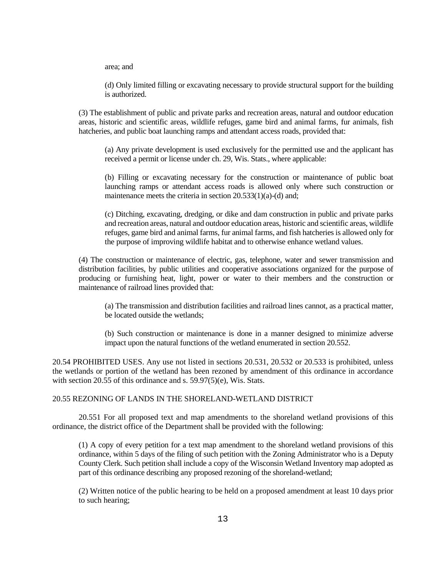area; and

(d) Only limited filling or excavating necessary to provide structural support for the building is authorized.

(3) The establishment of public and private parks and recreation areas, natural and outdoor education areas, historic and scientific areas, wildlife refuges, game bird and animal farms, fur animals, fish hatcheries, and public boat launching ramps and attendant access roads, provided that:

(a) Any private development is used exclusively for the permitted use and the applicant has received a permit or license under ch. 29, Wis. Stats., where applicable:

(b) Filling or excavating necessary for the construction or maintenance of public boat launching ramps or attendant access roads is allowed only where such construction or maintenance meets the criteria in section 20.533(1)(a)-(d) and;

(c) Ditching, excavating, dredging, or dike and dam construction in public and private parks and recreation areas, natural and outdoor education areas, historic and scientific areas, wildlife refuges, game bird and animal farms, fur animal farms, and fish hatcheries is allowed only for the purpose of improving wildlife habitat and to otherwise enhance wetland values.

(4) The construction or maintenance of electric, gas, telephone, water and sewer transmission and distribution facilities, by public utilities and cooperative associations organized for the purpose of producing or furnishing heat, light, power or water to their members and the construction or maintenance of railroad lines provided that:

(a) The transmission and distribution facilities and railroad lines cannot, as a practical matter, be located outside the wetlands;

(b) Such construction or maintenance is done in a manner designed to minimize adverse impact upon the natural functions of the wetland enumerated in section 20.552.

20.54 PROHIBITED USES. Any use not listed in sections 20.531, 20.532 or 20.533 is prohibited, unless the wetlands or portion of the wetland has been rezoned by amendment of this ordinance in accordance with section 20.55 of this ordinance and s. 59.97(5)(e), Wis. Stats.

## 20.55 REZONING OF LANDS IN THE SHORELAND-WETLAND DISTRICT

20.551 For all proposed text and map amendments to the shoreland wetland provisions of this ordinance, the district office of the Department shall be provided with the following:

(1) A copy of every petition for a text map amendment to the shoreland wetland provisions of this ordinance, within 5 days of the filing of such petition with the Zoning Administrator who is a Deputy County Clerk. Such petition shall include a copy of the Wisconsin Wetland Inventory map adopted as part of this ordinance describing any proposed rezoning of the shoreland-wetland;

(2) Written notice of the public hearing to be held on a proposed amendment at least 10 days prior to such hearing;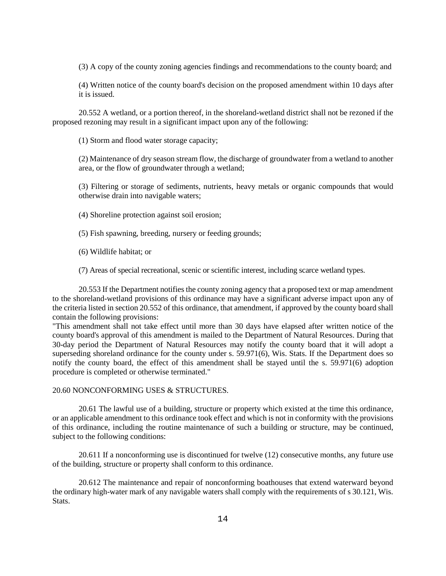(3) A copy of the county zoning agencies findings and recommendations to the county board; and

(4) Written notice of the county board's decision on the proposed amendment within 10 days after it is issued.

20.552 A wetland, or a portion thereof, in the shoreland-wetland district shall not be rezoned if the proposed rezoning may result in a significant impact upon any of the following:

(1) Storm and flood water storage capacity;

(2) Maintenance of dry season stream flow, the discharge of groundwater from a wetland to another area, or the flow of groundwater through a wetland;

(3) Filtering or storage of sediments, nutrients, heavy metals or organic compounds that would otherwise drain into navigable waters;

(4) Shoreline protection against soil erosion;

(5) Fish spawning, breeding, nursery or feeding grounds;

(6) Wildlife habitat; or

(7) Areas of special recreational, scenic or scientific interest, including scarce wetland types.

20.553 If the Department notifies the county zoning agency that a proposed text or map amendment to the shoreland-wetland provisions of this ordinance may have a significant adverse impact upon any of the criteria listed in section 20.552 of this ordinance, that amendment, if approved by the county board shall contain the following provisions:

"This amendment shall not take effect until more than 30 days have elapsed after written notice of the county board's approval of this amendment is mailed to the Department of Natural Resources. During that 30-day period the Department of Natural Resources may notify the county board that it will adopt a superseding shoreland ordinance for the county under s. 59.971(6), Wis. Stats. If the Department does so notify the county board, the effect of this amendment shall be stayed until the s. 59.971(6) adoption procedure is completed or otherwise terminated."

#### 20.60 NONCONFORMING USES & STRUCTURES.

20.61 The lawful use of a building, structure or property which existed at the time this ordinance, or an applicable amendment to this ordinance took effect and which is not in conformity with the provisions of this ordinance, including the routine maintenance of such a building or structure, may be continued, subject to the following conditions:

20.611 If a nonconforming use is discontinued for twelve (12) consecutive months, any future use of the building, structure or property shall conform to this ordinance.

20.612 The maintenance and repair of nonconforming boathouses that extend waterward beyond the ordinary high-water mark of any navigable waters shall comply with the requirements of s 30.121, Wis. Stats.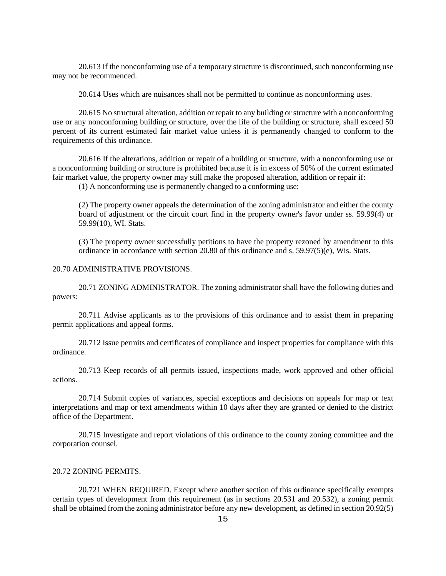20.613 If the nonconforming use of a temporary structure is discontinued, such nonconforming use may not be recommenced.

20.614 Uses which are nuisances shall not be permitted to continue as nonconforming uses.

20.615 No structural alteration, addition or repair to any building or structure with a nonconforming use or any nonconforming building or structure, over the life of the building or structure, shall exceed 50 percent of its current estimated fair market value unless it is permanently changed to conform to the requirements of this ordinance.

20.616 If the alterations, addition or repair of a building or structure, with a nonconforming use or a nonconforming building or structure is prohibited because it is in excess of 50% of the current estimated fair market value, the property owner may still make the proposed alteration, addition or repair if:

(1) A nonconforming use is permanently changed to a conforming use:

(2) The property owner appeals the determination of the zoning administrator and either the county board of adjustment or the circuit court find in the property owner's favor under ss. 59.99(4) or 59.99(10), WI. Stats.

(3) The property owner successfully petitions to have the property rezoned by amendment to this ordinance in accordance with section 20.80 of this ordinance and s. 59.97(5)(e), Wis. Stats.

### 20.70 ADMINISTRATIVE PROVISIONS.

20.71 ZONING ADMINISTRATOR. The zoning administrator shall have the following duties and powers:

20.711 Advise applicants as to the provisions of this ordinance and to assist them in preparing permit applications and appeal forms.

20.712 Issue permits and certificates of compliance and inspect properties for compliance with this ordinance.

20.713 Keep records of all permits issued, inspections made, work approved and other official actions.

20.714 Submit copies of variances, special exceptions and decisions on appeals for map or text interpretations and map or text amendments within 10 days after they are granted or denied to the district office of the Department.

20.715 Investigate and report violations of this ordinance to the county zoning committee and the corporation counsel.

#### 20.72 ZONING PERMITS.

20.721 WHEN REQUIRED. Except where another section of this ordinance specifically exempts certain types of development from this requirement (as in sections 20.531 and 20.532), a zoning permit shall be obtained from the zoning administrator before any new development, as defined in section 20.92(5)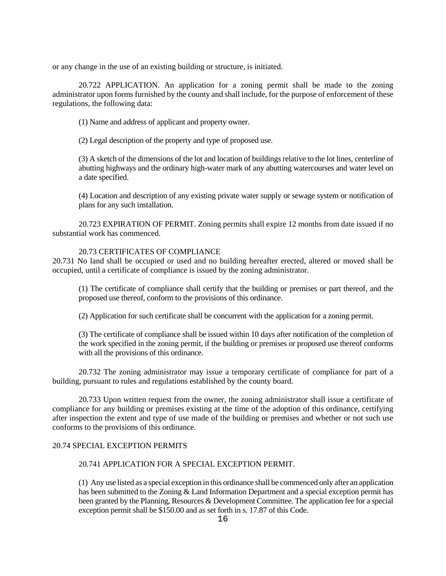or any change in the use of an existing building or structure, is initiated.

20.722 APPLICATION. An application for a zoning permit shall be made to the zoning administrator upon forms furnished by the county and shall include, for the purpose of enforcement of these regulations, the following data:

(1) Name and address of applicant and property owner.

(2) Legal description of the property and type of proposed use.

(3) A sketch of the dimensions of the lot and location of buildings relative to the lot lines, centerline of abutting highways and the ordinary high-water mark of any abutting watercourses and water level on a date specified.

(4) Location and description of any existing private water supply or sewage system or notification of plans for any such installation.

20.723 EXPIRATION OF PERMIT. Zoning permits shall expire 12 months from date issued if no substantial work has commenced.

## 20.73 CERTIFICATES OF COMPLIANCE

20.731 No land shall be occupied or used and no building hereafter erected, altered or moved shall be occupied, until a certificate of compliance is issued by the zoning administrator.

(1) The certificate of compliance shall certify that the building or premises or part thereof, and the proposed use thereof, conform to the provisions of this ordinance.

(2) Application for such certificate shall be concurrent with the application for a zoning permit.

(3) The certificate of compliance shall be issued within 10 days after notification of the completion of the work specified in the zoning permit, if the building or premises or proposed use thereof conforms with all the provisions of this ordinance.

20.732 The zoning administrator may issue a temporary certificate of compliance for part of a building, pursuant to rules and regulations established by the county board.

20.733 Upon written request from the owner, the zoning administrator shall issue a certificate of compliance for any building or premises existing at the time of the adoption of this ordinance, certifying after inspection the extent and type of use made of the building or premises and whether or not such use conforms to the provisions of this ordinance.

### 20.74 SPECIAL EXCEPTION PERMITS

## 20.741 APPLICATION FOR A SPECIAL EXCEPTION PERMIT.

(1) Any use listed as a special exception in this ordinance shall be commenced only after an application has been submitted to the Zoning & Land Information Department and a special exception permit has been granted by the Planning, Resources & Development Committee. The application fee for a special exception permit shall be \$150.00 and as set forth in s. 17.87 of this Code.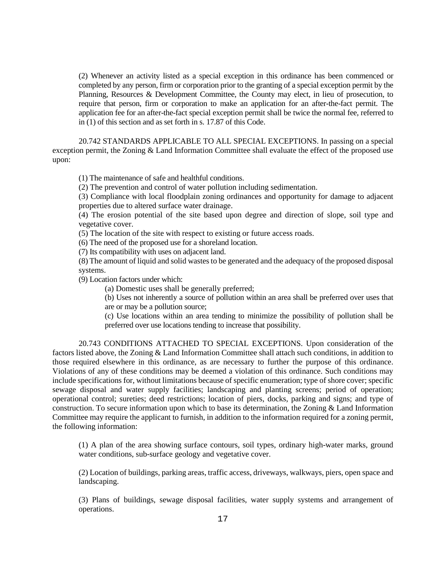(2) Whenever an activity listed as a special exception in this ordinance has been commenced or completed by any person, firm or corporation prior to the granting of a special exception permit by the Planning, Resources & Development Committee, the County may elect, in lieu of prosecution, to require that person, firm or corporation to make an application for an after-the-fact permit. The application fee for an after-the-fact special exception permit shall be twice the normal fee, referred to in (1) of this section and as set forth in s. 17.87 of this Code.

20.742 STANDARDS APPLICABLE TO ALL SPECIAL EXCEPTIONS. In passing on a special exception permit, the Zoning & Land Information Committee shall evaluate the effect of the proposed use upon:

(1) The maintenance of safe and healthful conditions.

(2) The prevention and control of water pollution including sedimentation.

(3) Compliance with local floodplain zoning ordinances and opportunity for damage to adjacent properties due to altered surface water drainage.

(4) The erosion potential of the site based upon degree and direction of slope, soil type and vegetative cover.

(5) The location of the site with respect to existing or future access roads.

(6) The need of the proposed use for a shoreland location.

(7) Its compatibility with uses on adjacent land.

(8) The amount of liquid and solid wastes to be generated and the adequacy of the proposed disposal systems.

(9) Location factors under which:

(a) Domestic uses shall be generally preferred;

(b) Uses not inherently a source of pollution within an area shall be preferred over uses that are or may be a pollution source;

(c) Use locations within an area tending to minimize the possibility of pollution shall be preferred over use locations tending to increase that possibility.

20.743 CONDITIONS ATTACHED TO SPECIAL EXCEPTIONS. Upon consideration of the factors listed above, the Zoning & Land Information Committee shall attach such conditions, in addition to those required elsewhere in this ordinance, as are necessary to further the purpose of this ordinance. Violations of any of these conditions may be deemed a violation of this ordinance. Such conditions may include specifications for, without limitations because of specific enumeration; type of shore cover; specific sewage disposal and water supply facilities; landscaping and planting screens; period of operation; operational control; sureties; deed restrictions; location of piers, docks, parking and signs; and type of construction. To secure information upon which to base its determination, the Zoning & Land Information Committee may require the applicant to furnish, in addition to the information required for a zoning permit, the following information:

(1) A plan of the area showing surface contours, soil types, ordinary high-water marks, ground water conditions, sub-surface geology and vegetative cover.

(2) Location of buildings, parking areas, traffic access, driveways, walkways, piers, open space and landscaping.

(3) Plans of buildings, sewage disposal facilities, water supply systems and arrangement of operations.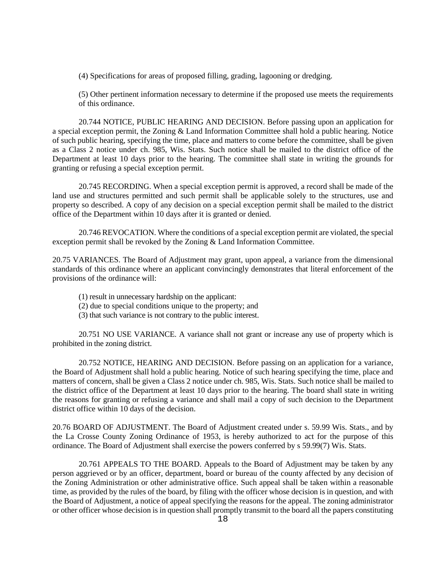(4) Specifications for areas of proposed filling, grading, lagooning or dredging.

(5) Other pertinent information necessary to determine if the proposed use meets the requirements of this ordinance.

20.744 NOTICE, PUBLIC HEARING AND DECISION. Before passing upon an application for a special exception permit, the Zoning & Land Information Committee shall hold a public hearing. Notice of such public hearing, specifying the time, place and matters to come before the committee, shall be given as a Class 2 notice under ch. 985, Wis. Stats. Such notice shall be mailed to the district office of the Department at least 10 days prior to the hearing. The committee shall state in writing the grounds for granting or refusing a special exception permit.

20.745 RECORDING. When a special exception permit is approved, a record shall be made of the land use and structures permitted and such permit shall be applicable solely to the structures, use and property so described. A copy of any decision on a special exception permit shall be mailed to the district office of the Department within 10 days after it is granted or denied.

20.746 REVOCATION. Where the conditions of a special exception permit are violated, the special exception permit shall be revoked by the Zoning & Land Information Committee.

20.75 VARIANCES. The Board of Adjustment may grant, upon appeal, a variance from the dimensional standards of this ordinance where an applicant convincingly demonstrates that literal enforcement of the provisions of the ordinance will:

- (1) result in unnecessary hardship on the applicant:
- (2) due to special conditions unique to the property; and
- (3) that such variance is not contrary to the public interest.

20.751 NO USE VARIANCE. A variance shall not grant or increase any use of property which is prohibited in the zoning district.

20.752 NOTICE, HEARING AND DECISION. Before passing on an application for a variance, the Board of Adjustment shall hold a public hearing. Notice of such hearing specifying the time, place and matters of concern, shall be given a Class 2 notice under ch. 985, Wis. Stats. Such notice shall be mailed to the district office of the Department at least 10 days prior to the hearing. The board shall state in writing the reasons for granting or refusing a variance and shall mail a copy of such decision to the Department district office within 10 days of the decision.

20.76 BOARD OF ADJUSTMENT. The Board of Adjustment created under s. 59.99 Wis. Stats., and by the La Crosse County Zoning Ordinance of 1953, is hereby authorized to act for the purpose of this ordinance. The Board of Adjustment shall exercise the powers conferred by s 59.99(7) Wis. Stats.

20.761 APPEALS TO THE BOARD. Appeals to the Board of Adjustment may be taken by any person aggrieved or by an officer, department, board or bureau of the county affected by any decision of the Zoning Administration or other administrative office. Such appeal shall be taken within a reasonable time, as provided by the rules of the board, by filing with the officer whose decision is in question, and with the Board of Adjustment, a notice of appeal specifying the reasons for the appeal. The zoning administrator or other officer whose decision is in question shall promptly transmit to the board all the papers constituting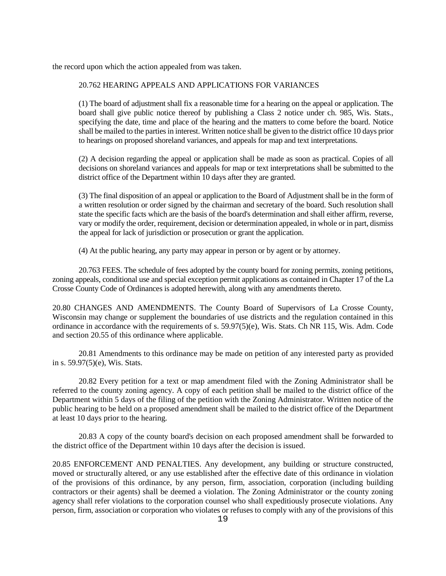the record upon which the action appealed from was taken.

## 20.762 HEARING APPEALS AND APPLICATIONS FOR VARIANCES

(1) The board of adjustment shall fix a reasonable time for a hearing on the appeal or application. The board shall give public notice thereof by publishing a Class 2 notice under ch. 985, Wis. Stats., specifying the date, time and place of the hearing and the matters to come before the board. Notice shall be mailed to the parties in interest. Written notice shall be given to the district office 10 days prior to hearings on proposed shoreland variances, and appeals for map and text interpretations.

(2) A decision regarding the appeal or application shall be made as soon as practical. Copies of all decisions on shoreland variances and appeals for map or text interpretations shall be submitted to the district office of the Department within 10 days after they are granted.

(3) The final disposition of an appeal or application to the Board of Adjustment shall be in the form of a written resolution or order signed by the chairman and secretary of the board. Such resolution shall state the specific facts which are the basis of the board's determination and shall either affirm, reverse, vary or modify the order, requirement, decision or determination appealed, in whole or in part, dismiss the appeal for lack of jurisdiction or prosecution or grant the application.

(4) At the public hearing, any party may appear in person or by agent or by attorney.

20.763 FEES. The schedule of fees adopted by the county board for zoning permits, zoning petitions, zoning appeals, conditional use and special exception permit applications as contained in Chapter 17 of the La Crosse County Code of Ordinances is adopted herewith, along with any amendments thereto.

20.80 CHANGES AND AMENDMENTS. The County Board of Supervisors of La Crosse County, Wisconsin may change or supplement the boundaries of use districts and the regulation contained in this ordinance in accordance with the requirements of s. 59.97(5)(e), Wis. Stats. Ch NR 115, Wis. Adm. Code and section 20.55 of this ordinance where applicable.

20.81 Amendments to this ordinance may be made on petition of any interested party as provided in s. 59.97(5)(e), Wis. Stats.

20.82 Every petition for a text or map amendment filed with the Zoning Administrator shall be referred to the county zoning agency. A copy of each petition shall be mailed to the district office of the Department within 5 days of the filing of the petition with the Zoning Administrator. Written notice of the public hearing to be held on a proposed amendment shall be mailed to the district office of the Department at least 10 days prior to the hearing.

20.83 A copy of the county board's decision on each proposed amendment shall be forwarded to the district office of the Department within 10 days after the decision is issued.

20.85 ENFORCEMENT AND PENALTIES. Any development, any building or structure constructed, moved or structurally altered, or any use established after the effective date of this ordinance in violation of the provisions of this ordinance, by any person, firm, association, corporation (including building contractors or their agents) shall be deemed a violation. The Zoning Administrator or the county zoning agency shall refer violations to the corporation counsel who shall expeditiously prosecute violations. Any person, firm, association or corporation who violates or refuses to comply with any of the provisions of this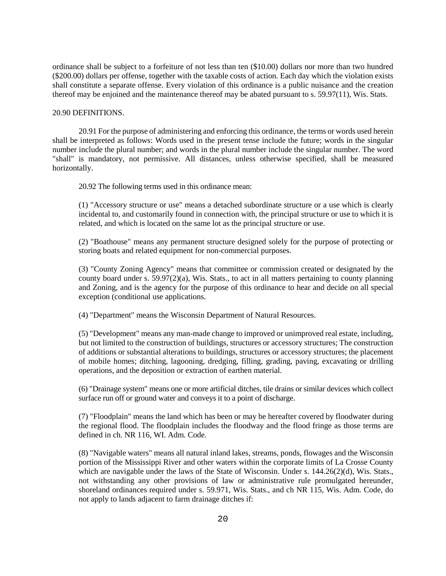ordinance shall be subject to a forfeiture of not less than ten (\$10.00) dollars nor more than two hundred (\$200.00) dollars per offense, together with the taxable costs of action. Each day which the violation exists shall constitute a separate offense. Every violation of this ordinance is a public nuisance and the creation thereof may be enjoined and the maintenance thereof may be abated pursuant to s. 59.97(11), Wis. Stats.

### 20.90 DEFINITIONS.

20.91 For the purpose of administering and enforcing this ordinance, the terms or words used herein shall be interpreted as follows: Words used in the present tense include the future; words in the singular number include the plural number; and words in the plural number include the singular number. The word "shall" is mandatory, not permissive. All distances, unless otherwise specified, shall be measured horizontally.

20.92 The following terms used in this ordinance mean:

(1) "Accessory structure or use" means a detached subordinate structure or a use which is clearly incidental to, and customarily found in connection with, the principal structure or use to which it is related, and which is located on the same lot as the principal structure or use.

(2) "Boathouse" means any permanent structure designed solely for the purpose of protecting or storing boats and related equipment for non-commercial purposes.

(3) "County Zoning Agency" means that committee or commission created or designated by the county board under s. 59.97(2)(a), Wis. Stats., to act in all matters pertaining to county planning and Zoning, and is the agency for the purpose of this ordinance to hear and decide on all special exception (conditional use applications.

(4) "Department" means the Wisconsin Department of Natural Resources.

(5) "Development" means any man-made change to improved or unimproved real estate, including, but not limited to the construction of buildings, structures or accessory structures; The construction of additions or substantial alterations to buildings, structures or accessory structures; the placement of mobile homes; ditching, lagooning, dredging, filling, grading, paving, excavating or drilling operations, and the deposition or extraction of earthen material.

(6) "Drainage system" means one or more artificial ditches, tile drains or similar devices which collect surface run off or ground water and conveys it to a point of discharge.

(7) "Floodplain" means the land which has been or may be hereafter covered by floodwater during the regional flood. The floodplain includes the floodway and the flood fringe as those terms are defined in ch. NR 116, WI. Adm. Code.

(8) "Navigable waters" means all natural inland lakes, streams, ponds, flowages and the Wisconsin portion of the Mississippi River and other waters within the corporate limits of La Crosse County which are navigable under the laws of the State of Wisconsin. Under s. 144.26(2)(d), Wis. Stats., not withstanding any other provisions of law or administrative rule promulgated hereunder, shoreland ordinances required under s. 59.971, Wis. Stats., and ch NR 115, Wis. Adm. Code, do not apply to lands adjacent to farm drainage ditches if: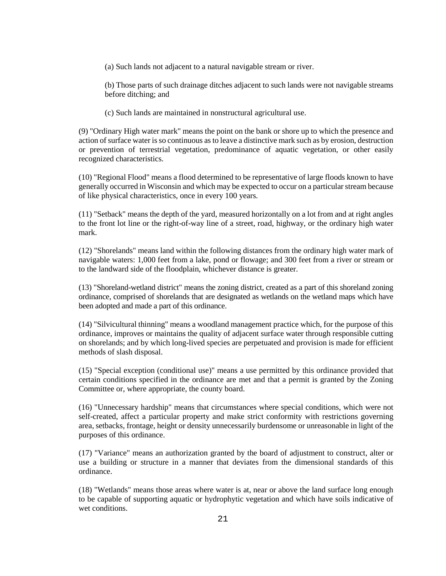(a) Such lands not adjacent to a natural navigable stream or river.

(b) Those parts of such drainage ditches adjacent to such lands were not navigable streams before ditching; and

(c) Such lands are maintained in nonstructural agricultural use.

(9) "Ordinary High water mark" means the point on the bank or shore up to which the presence and action of surface water is so continuous as to leave a distinctive mark such as by erosion, destruction or prevention of terrestrial vegetation, predominance of aquatic vegetation, or other easily recognized characteristics.

(10) "Regional Flood" means a flood determined to be representative of large floods known to have generally occurred in Wisconsin and which may be expected to occur on a particular stream because of like physical characteristics, once in every 100 years.

(11) "Setback" means the depth of the yard, measured horizontally on a lot from and at right angles to the front lot line or the right-of-way line of a street, road, highway, or the ordinary high water mark.

(12) "Shorelands" means land within the following distances from the ordinary high water mark of navigable waters: 1,000 feet from a lake, pond or flowage; and 300 feet from a river or stream or to the landward side of the floodplain, whichever distance is greater.

(13) "Shoreland-wetland district" means the zoning district, created as a part of this shoreland zoning ordinance, comprised of shorelands that are designated as wetlands on the wetland maps which have been adopted and made a part of this ordinance.

(14) "Silvicultural thinning" means a woodland management practice which, for the purpose of this ordinance, improves or maintains the quality of adjacent surface water through responsible cutting on shorelands; and by which long-lived species are perpetuated and provision is made for efficient methods of slash disposal.

(15) "Special exception (conditional use)" means a use permitted by this ordinance provided that certain conditions specified in the ordinance are met and that a permit is granted by the Zoning Committee or, where appropriate, the county board.

(16) "Unnecessary hardship" means that circumstances where special conditions, which were not self-created, affect a particular property and make strict conformity with restrictions governing area, setbacks, frontage, height or density unnecessarily burdensome or unreasonable in light of the purposes of this ordinance.

(17) "Variance" means an authorization granted by the board of adjustment to construct, alter or use a building or structure in a manner that deviates from the dimensional standards of this ordinance.

(18) "Wetlands" means those areas where water is at, near or above the land surface long enough to be capable of supporting aquatic or hydrophytic vegetation and which have soils indicative of wet conditions.